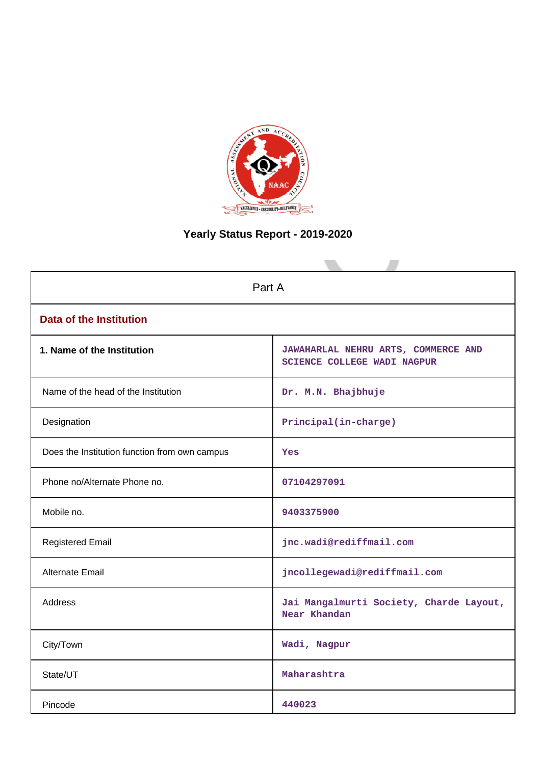

# **Yearly Status Report - 2019-2020**

| Part A                                        |                                                                    |  |  |  |
|-----------------------------------------------|--------------------------------------------------------------------|--|--|--|
| <b>Data of the Institution</b>                |                                                                    |  |  |  |
| 1. Name of the Institution                    | JAWAHARLAL NEHRU ARTS, COMMERCE AND<br>SCIENCE COLLEGE WADI NAGPUR |  |  |  |
| Name of the head of the Institution           | Dr. M.N. Bhajbhuje                                                 |  |  |  |
| Designation                                   | Principal(in-charge)                                               |  |  |  |
| Does the Institution function from own campus | Yes                                                                |  |  |  |
| Phone no/Alternate Phone no.                  | 07104297091                                                        |  |  |  |
| Mobile no.                                    | 9403375900                                                         |  |  |  |
| <b>Registered Email</b>                       | jnc.wadi@rediffmail.com                                            |  |  |  |
| Alternate Email                               | jncollegewadi@rediffmail.com                                       |  |  |  |
| <b>Address</b>                                | Jai Mangalmurti Society, Charde Layout,<br>Near Khandan            |  |  |  |
| City/Town                                     | Wadi, Nagpur                                                       |  |  |  |
| State/UT                                      | Maharashtra                                                        |  |  |  |
| Pincode                                       | 440023                                                             |  |  |  |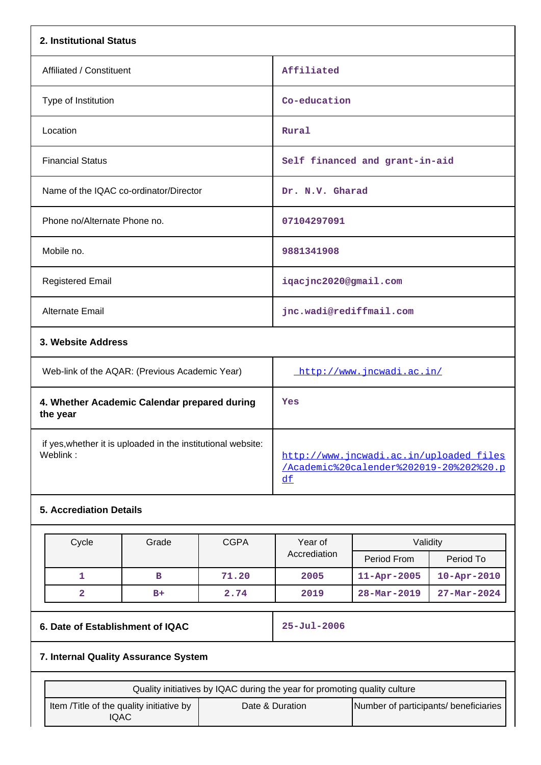| 2. Institutional Status                        |                                |
|------------------------------------------------|--------------------------------|
| Affiliated / Constituent                       | Affiliated                     |
| Type of Institution                            | Co-education                   |
| Location                                       | Rural                          |
| <b>Financial Status</b>                        | Self financed and grant-in-aid |
| Name of the IQAC co-ordinator/Director         | Dr. N.V. Gharad                |
| Phone no/Alternate Phone no.                   | 07104297091                    |
| Mobile no.                                     | 9881341908                     |
| <b>Registered Email</b>                        | iqacjnc2020@gmail.com          |
| Alternate Email                                | jnc.wadi@rediffmail.com        |
| 3. Website Address                             |                                |
| Web-link of the AQAR: (Previous Academic Year) | http://www.jncwadi.ac.in/      |
| 4. Whether Academic Calendar prepared during   | Yes                            |

| the year                                                     |                                         |
|--------------------------------------------------------------|-----------------------------------------|
| if yes, whether it is uploaded in the institutional website: | http://www.jncwadi.ac.in/uploaded files |
| Weblink :                                                    | /Academic%20calender%202019-20%202%20.p |

# **5. Accrediation Details**

| Cycle | Grade | <b>CGPA</b> | Year of<br>Accrediation | Validity                 |                          |
|-------|-------|-------------|-------------------------|--------------------------|--------------------------|
|       |       |             |                         | Period From              | Period To                |
|       | в     | 71.20       | 2005                    | $11 - Apr - 2005$        | $10 - Apr - 2010$        |
| 2     | $B+$  | 2.74        | 2019                    | $28 - \text{Mar} - 2019$ | $27 - \text{Mar} - 2024$ |

# **6. Date of Establishment of IQAC 25-Jul-2006**

# **7. Internal Quality Assurance System**

| Quality initiatives by IQAC during the year for promoting quality culture |                 |                                       |  |
|---------------------------------------------------------------------------|-----------------|---------------------------------------|--|
| Item / Title of the quality initiative by<br>IQAC                         | Date & Duration | Number of participants/ beneficiaries |  |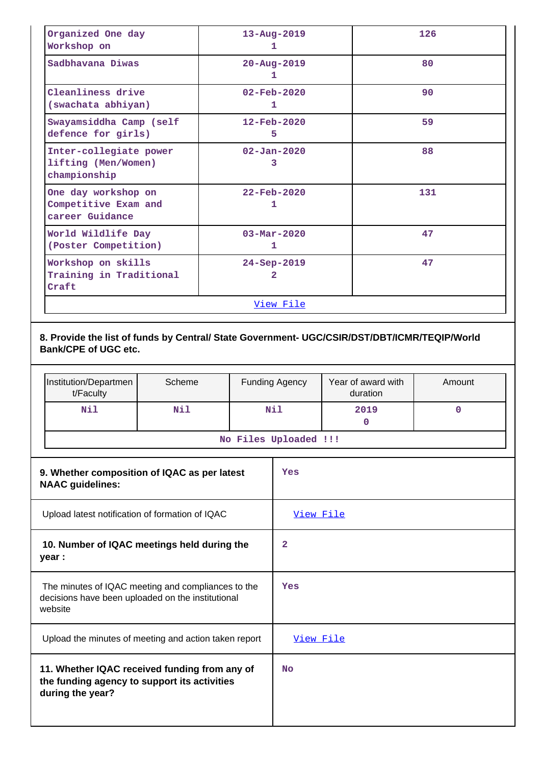| Organized One day<br>Workshop on                               | $13 - Aug - 2019$<br>1        | 126 |  |
|----------------------------------------------------------------|-------------------------------|-----|--|
| Sadbhavana Diwas                                               | $20 - \text{Aug} - 2019$<br>1 | 80  |  |
| Cleanliness drive<br>(swachata abhiyan)                        | $02 - \text{Feb} - 2020$<br>1 | 90  |  |
| Swayamsiddha Camp (self<br>defence for girls)                  | $12 - \text{Feb} - 2020$<br>5 | 59  |  |
| Inter-collegiate power<br>lifting (Men/Women)<br>championship  | $02 - Jan - 2020$<br>3        | 88  |  |
| One day workshop on<br>Competitive Exam and<br>career Guidance | $22 - \text{Feb} - 2020$<br>1 | 131 |  |
| World Wildlife Day<br>(Poster Competition)                     | $03 - Mar - 2020$<br>1        | 47  |  |
| Workshop on skills<br>Training in Traditional<br>Craft         | $24 - Sep - 2019$<br>2        | 47  |  |
| View File                                                      |                               |     |  |

**8. Provide the list of funds by Central/ State Government- UGC/CSIR/DST/DBT/ICMR/TEQIP/World Bank/CPE of UGC etc.**

| Institution/Departmen<br>t/Faculty | Scheme | <b>Funding Agency</b> | Year of award with<br>duration | Amount |
|------------------------------------|--------|-----------------------|--------------------------------|--------|
| Nil                                | Nil    | Nil                   | 2019                           |        |
| No Files Uploaded !!!              |        |                       |                                |        |

| 9. Whether composition of IQAC as per latest<br><b>NAAC</b> guidelines:                                            | Yes              |
|--------------------------------------------------------------------------------------------------------------------|------------------|
| Upload latest notification of formation of IQAC                                                                    | <u>View File</u> |
| 10. Number of IQAC meetings held during the<br>year :                                                              | 2                |
| The minutes of IQAC meeting and compliances to the<br>decisions have been uploaded on the institutional<br>website | Yes              |
| Upload the minutes of meeting and action taken report                                                              | <u>View File</u> |
| 11. Whether IQAC received funding from any of<br>the funding agency to support its activities<br>during the year?  | <b>No</b>        |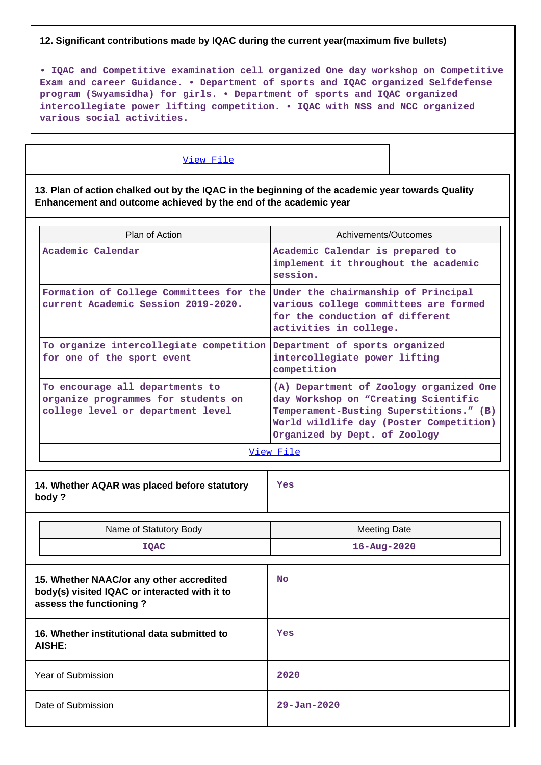### **12. Significant contributions made by IQAC during the current year(maximum five bullets)**

**• IQAC and Competitive examination cell organized One day workshop on Competitive Exam and career Guidance. • Department of sports and IQAC organized Selfdefense program (Swyamsidha) for girls. • Department of sports and IQAC organized intercollegiate power lifting competition. • IQAC with NSS and NCC organized various social activities.**

#### [View File](https://assessmentonline.naac.gov.in/public/Postacc/Contribution/12473_Contribution.xlsx)

**13. Plan of action chalked out by the IQAC in the beginning of the academic year towards Quality Enhancement and outcome achieved by the end of the academic year**

| Plan of Action                                                                                              | Achivements/Outcomes                                                                                                                                                                                   |  |  |
|-------------------------------------------------------------------------------------------------------------|--------------------------------------------------------------------------------------------------------------------------------------------------------------------------------------------------------|--|--|
| Academic Calendar                                                                                           | Academic Calendar is prepared to<br>implement it throughout the academic<br>session.                                                                                                                   |  |  |
| Formation of College Committees for the<br>current Academic Session 2019-2020.                              | Under the chairmanship of Principal<br>various college committees are formed<br>for the conduction of different<br>activities in college.                                                              |  |  |
| To organize intercollegiate competition Department of sports organized<br>for one of the sport event        | intercollegiate power lifting<br>competition                                                                                                                                                           |  |  |
| To encourage all departments to<br>organize programmes for students on<br>college level or department level | (A) Department of Zoology organized One<br>day Workshop on "Creating Scientific<br>Temperament-Busting Superstitions." (B)<br>World wildlife day (Poster Competition)<br>Organized by Dept. of Zoology |  |  |
| View File                                                                                                   |                                                                                                                                                                                                        |  |  |
| 14. Whether AQAR was placed before statutory<br>body?                                                       | <b>Yes</b>                                                                                                                                                                                             |  |  |

| Name of Statutory Body<br><b>IQAC</b>                                                                                | <b>Meeting Date</b><br>$16 - Aug - 2020$ |
|----------------------------------------------------------------------------------------------------------------------|------------------------------------------|
| 15. Whether NAAC/or any other accredited<br>body(s) visited IQAC or interacted with it to<br>assess the functioning? | <b>No</b>                                |
| 16. Whether institutional data submitted to<br>AISHE:                                                                | Yes                                      |
| Year of Submission                                                                                                   | 2020                                     |
| Date of Submission                                                                                                   | $29 - Jan - 2020$                        |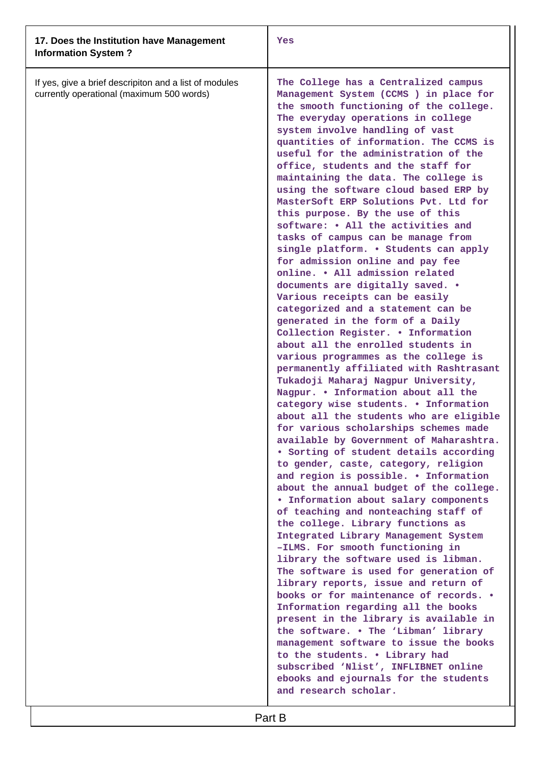| 17. Does the Institution have Management<br><b>Information System?</b>                              | Yes                                                                                                                                                                                                                                                                                                                                                                                                                                                                                                                                                                                                                                                                                                                                                                                                                                                                                                                                                                                                                                                                                                                                                                                                                                                                                                                                                                                                                                                                                                                                                                                                                                                                                                                                                                                                                                                                                                                                                                                                                                                                                                                |
|-----------------------------------------------------------------------------------------------------|--------------------------------------------------------------------------------------------------------------------------------------------------------------------------------------------------------------------------------------------------------------------------------------------------------------------------------------------------------------------------------------------------------------------------------------------------------------------------------------------------------------------------------------------------------------------------------------------------------------------------------------------------------------------------------------------------------------------------------------------------------------------------------------------------------------------------------------------------------------------------------------------------------------------------------------------------------------------------------------------------------------------------------------------------------------------------------------------------------------------------------------------------------------------------------------------------------------------------------------------------------------------------------------------------------------------------------------------------------------------------------------------------------------------------------------------------------------------------------------------------------------------------------------------------------------------------------------------------------------------------------------------------------------------------------------------------------------------------------------------------------------------------------------------------------------------------------------------------------------------------------------------------------------------------------------------------------------------------------------------------------------------------------------------------------------------------------------------------------------------|
| If yes, give a brief descripiton and a list of modules<br>currently operational (maximum 500 words) | The College has a Centralized campus<br>Management System (CCMS) in place for<br>the smooth functioning of the college.<br>The everyday operations in college<br>system involve handling of vast<br>quantities of information. The CCMS is<br>useful for the administration of the<br>office, students and the staff for<br>maintaining the data. The college is<br>using the software cloud based ERP by<br>MasterSoft ERP Solutions Pvt. Ltd for<br>this purpose. By the use of this<br>software: • All the activities and<br>tasks of campus can be manage from<br>single platform. . Students can apply<br>for admission online and pay fee<br>online. . All admission related<br>documents are digitally saved. .<br>Various receipts can be easily<br>categorized and a statement can be<br>generated in the form of a Daily<br>Collection Register. . Information<br>about all the enrolled students in<br>various programmes as the college is<br>permanently affiliated with Rashtrasant<br>Tukadoji Maharaj Nagpur University,<br>Nagpur. . Information about all the<br>category wise students. . Information<br>about all the students who are eligible<br>for various scholarships schemes made<br>available by Government of Maharashtra.<br>• Sorting of student details according<br>to gender, caste, category, religion<br>and region is possible. . Information<br>about the annual budget of the college.<br>. Information about salary components<br>of teaching and nonteaching staff of<br>the college. Library functions as<br>Integrated Library Management System<br>-ILMS. For smooth functioning in<br>library the software used is libman.<br>The software is used for generation of<br>library reports, issue and return of<br>books or for maintenance of records. .<br>Information regarding all the books<br>present in the library is available in<br>the software. . The 'Libman' library<br>management software to issue the books<br>to the students. . Library had<br>subscribed 'Nlist', INFLIBNET online<br>ebooks and ejournals for the students<br>and research scholar. |

Part B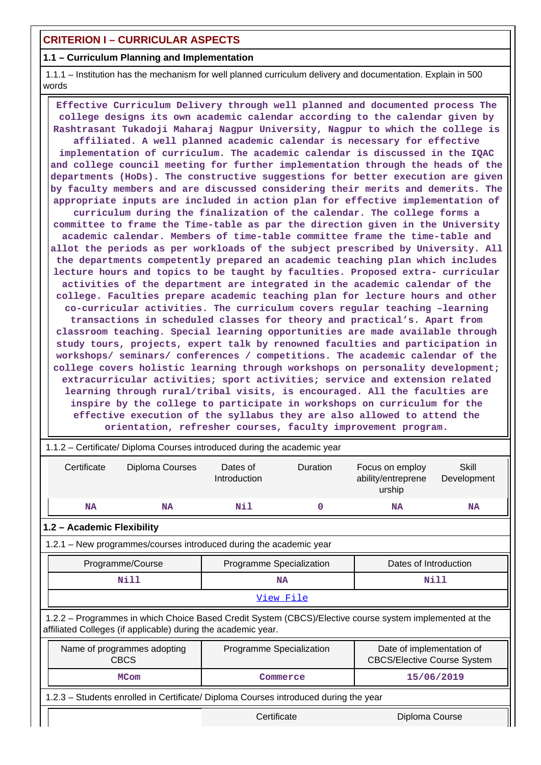# **CRITERION I – CURRICULAR ASPECTS**

## **1.1 – Curriculum Planning and Implementation**

 1.1.1 – Institution has the mechanism for well planned curriculum delivery and documentation. Explain in 500 words

 **Effective Curriculum Delivery through well planned and documented process The college designs its own academic calendar according to the calendar given by Rashtrasant Tukadoji Maharaj Nagpur University, Nagpur to which the college is affiliated. A well planned academic calendar is necessary for effective implementation of curriculum. The academic calendar is discussed in the IQAC and college council meeting for further implementation through the heads of the departments (HoDs). The constructive suggestions for better execution are given by faculty members and are discussed considering their merits and demerits. The appropriate inputs are included in action plan for effective implementation of curriculum during the finalization of the calendar. The college forms a committee to frame the Time-table as par the direction given in the University academic calendar. Members of time-table committee frame the time-table and allot the periods as per workloads of the subject prescribed by University. All the departments competently prepared an academic teaching plan which includes lecture hours and topics to be taught by faculties. Proposed extra- curricular activities of the department are integrated in the academic calendar of the college. Faculties prepare academic teaching plan for lecture hours and other co-curricular activities. The curriculum covers regular teaching –learning transactions in scheduled classes for theory and practical's. Apart from classroom teaching. Special learning opportunities are made available through study tours, projects, expert talk by renowned faculties and participation in workshops/ seminars/ conferences / competitions. The academic calendar of the college covers holistic learning through workshops on personality development; extracurricular activities; sport activities; service and extension related learning through rural/tribal visits, is encouraged. All the faculties are inspire by the college to participate in workshops on curriculum for the effective execution of the syllabus they are also allowed to attend the orientation, refresher courses, faculty improvement program.**

|                                                                                                                                                                          | 1.1.2 - Certificate/ Diploma Courses introduced during the academic year |                          |                                                   |                                                                 |                      |  |  |
|--------------------------------------------------------------------------------------------------------------------------------------------------------------------------|--------------------------------------------------------------------------|--------------------------|---------------------------------------------------|-----------------------------------------------------------------|----------------------|--|--|
| Certificate                                                                                                                                                              | Diploma Courses                                                          | Dates of<br>Introduction | Duration                                          | Focus on employ<br>ability/entreprene<br>urship                 | Skill<br>Development |  |  |
| <b>NA</b>                                                                                                                                                                | <b>NA</b>                                                                | Nil                      | 0                                                 | <b>NA</b>                                                       | <b>NA</b>            |  |  |
| 1.2 - Academic Flexibility                                                                                                                                               |                                                                          |                          |                                                   |                                                                 |                      |  |  |
| 1.2.1 - New programmes/courses introduced during the academic year                                                                                                       |                                                                          |                          |                                                   |                                                                 |                      |  |  |
|                                                                                                                                                                          | Programme/Course                                                         |                          | Programme Specialization<br>Dates of Introduction |                                                                 |                      |  |  |
|                                                                                                                                                                          | Nill                                                                     | <b>NA</b>                |                                                   | Nill                                                            |                      |  |  |
| View File                                                                                                                                                                |                                                                          |                          |                                                   |                                                                 |                      |  |  |
| 1.2.2 - Programmes in which Choice Based Credit System (CBCS)/Elective course system implemented at the<br>affiliated Colleges (if applicable) during the academic year. |                                                                          |                          |                                                   |                                                                 |                      |  |  |
|                                                                                                                                                                          | Name of programmes adopting<br><b>CBCS</b>                               | Programme Specialization |                                                   | Date of implementation of<br><b>CBCS/Elective Course System</b> |                      |  |  |
|                                                                                                                                                                          | <b>MCom</b>                                                              |                          | Commerce                                          |                                                                 | 15/06/2019           |  |  |
| 1.2.3 - Students enrolled in Certificate/ Diploma Courses introduced during the year                                                                                     |                                                                          |                          |                                                   |                                                                 |                      |  |  |
| Certificate<br>Diploma Course                                                                                                                                            |                                                                          |                          |                                                   |                                                                 |                      |  |  |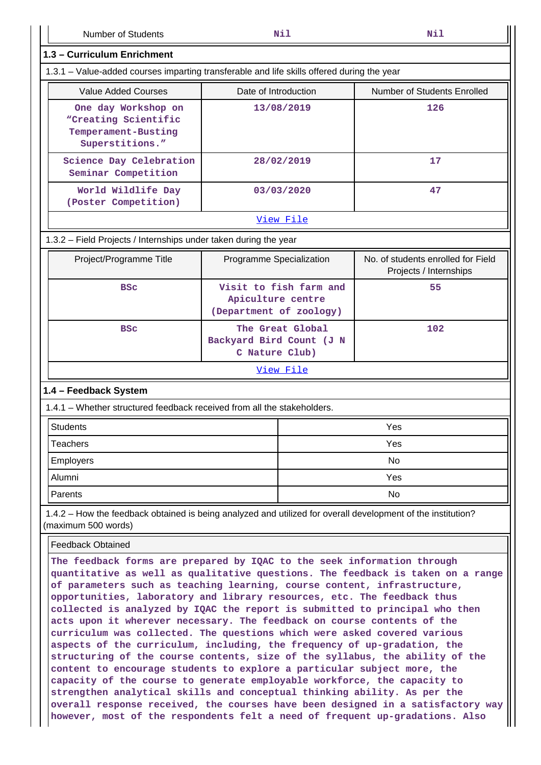Number of Students **Nil Nil**

| 1.3 - Curriculum Enrichment                                                                                                                                                                                                                                                                                                                                                                                                                                                                                                                                                                                                                                                                                                                                                                                                                                                                                                                                                                                                                                                                                               |                                                                        |            |                                                              |  |  |  |
|---------------------------------------------------------------------------------------------------------------------------------------------------------------------------------------------------------------------------------------------------------------------------------------------------------------------------------------------------------------------------------------------------------------------------------------------------------------------------------------------------------------------------------------------------------------------------------------------------------------------------------------------------------------------------------------------------------------------------------------------------------------------------------------------------------------------------------------------------------------------------------------------------------------------------------------------------------------------------------------------------------------------------------------------------------------------------------------------------------------------------|------------------------------------------------------------------------|------------|--------------------------------------------------------------|--|--|--|
| 1.3.1 – Value-added courses imparting transferable and life skills offered during the year                                                                                                                                                                                                                                                                                                                                                                                                                                                                                                                                                                                                                                                                                                                                                                                                                                                                                                                                                                                                                                |                                                                        |            |                                                              |  |  |  |
| <b>Value Added Courses</b>                                                                                                                                                                                                                                                                                                                                                                                                                                                                                                                                                                                                                                                                                                                                                                                                                                                                                                                                                                                                                                                                                                | Date of Introduction                                                   |            | <b>Number of Students Enrolled</b>                           |  |  |  |
| One day Workshop on<br>"Creating Scientific<br>Temperament-Busting<br>Superstitions."                                                                                                                                                                                                                                                                                                                                                                                                                                                                                                                                                                                                                                                                                                                                                                                                                                                                                                                                                                                                                                     |                                                                        | 13/08/2019 | 126                                                          |  |  |  |
| Science Day Celebration<br>Seminar Competition                                                                                                                                                                                                                                                                                                                                                                                                                                                                                                                                                                                                                                                                                                                                                                                                                                                                                                                                                                                                                                                                            |                                                                        | 28/02/2019 | 17                                                           |  |  |  |
| World Wildlife Day<br>(Poster Competition)                                                                                                                                                                                                                                                                                                                                                                                                                                                                                                                                                                                                                                                                                                                                                                                                                                                                                                                                                                                                                                                                                |                                                                        | 03/03/2020 | 47                                                           |  |  |  |
|                                                                                                                                                                                                                                                                                                                                                                                                                                                                                                                                                                                                                                                                                                                                                                                                                                                                                                                                                                                                                                                                                                                           |                                                                        | View File  |                                                              |  |  |  |
| 1.3.2 - Field Projects / Internships under taken during the year                                                                                                                                                                                                                                                                                                                                                                                                                                                                                                                                                                                                                                                                                                                                                                                                                                                                                                                                                                                                                                                          |                                                                        |            |                                                              |  |  |  |
| Project/Programme Title                                                                                                                                                                                                                                                                                                                                                                                                                                                                                                                                                                                                                                                                                                                                                                                                                                                                                                                                                                                                                                                                                                   | Programme Specialization                                               |            | No. of students enrolled for Field<br>Projects / Internships |  |  |  |
| <b>BSC</b>                                                                                                                                                                                                                                                                                                                                                                                                                                                                                                                                                                                                                                                                                                                                                                                                                                                                                                                                                                                                                                                                                                                | Visit to fish farm and<br>Apiculture centre<br>(Department of zoology) |            | 55                                                           |  |  |  |
| <b>BSC</b>                                                                                                                                                                                                                                                                                                                                                                                                                                                                                                                                                                                                                                                                                                                                                                                                                                                                                                                                                                                                                                                                                                                | The Great Global<br>Backyard Bird Count (J N<br>C Nature Club)         |            | 102                                                          |  |  |  |
| View File                                                                                                                                                                                                                                                                                                                                                                                                                                                                                                                                                                                                                                                                                                                                                                                                                                                                                                                                                                                                                                                                                                                 |                                                                        |            |                                                              |  |  |  |
| 1.4 - Feedback System                                                                                                                                                                                                                                                                                                                                                                                                                                                                                                                                                                                                                                                                                                                                                                                                                                                                                                                                                                                                                                                                                                     |                                                                        |            |                                                              |  |  |  |
| 1.4.1 - Whether structured feedback received from all the stakeholders.                                                                                                                                                                                                                                                                                                                                                                                                                                                                                                                                                                                                                                                                                                                                                                                                                                                                                                                                                                                                                                                   |                                                                        |            |                                                              |  |  |  |
| <b>Students</b>                                                                                                                                                                                                                                                                                                                                                                                                                                                                                                                                                                                                                                                                                                                                                                                                                                                                                                                                                                                                                                                                                                           |                                                                        |            | Yes                                                          |  |  |  |
| <b>Teachers</b>                                                                                                                                                                                                                                                                                                                                                                                                                                                                                                                                                                                                                                                                                                                                                                                                                                                                                                                                                                                                                                                                                                           |                                                                        |            | Yes                                                          |  |  |  |
| <b>Employers</b>                                                                                                                                                                                                                                                                                                                                                                                                                                                                                                                                                                                                                                                                                                                                                                                                                                                                                                                                                                                                                                                                                                          |                                                                        | No         |                                                              |  |  |  |
| Alumni                                                                                                                                                                                                                                                                                                                                                                                                                                                                                                                                                                                                                                                                                                                                                                                                                                                                                                                                                                                                                                                                                                                    |                                                                        | Yes        |                                                              |  |  |  |
| Parents                                                                                                                                                                                                                                                                                                                                                                                                                                                                                                                                                                                                                                                                                                                                                                                                                                                                                                                                                                                                                                                                                                                   |                                                                        | No         |                                                              |  |  |  |
| 1.4.2 – How the feedback obtained is being analyzed and utilized for overall development of the institution?<br>(maximum 500 words)                                                                                                                                                                                                                                                                                                                                                                                                                                                                                                                                                                                                                                                                                                                                                                                                                                                                                                                                                                                       |                                                                        |            |                                                              |  |  |  |
| <b>Feedback Obtained</b>                                                                                                                                                                                                                                                                                                                                                                                                                                                                                                                                                                                                                                                                                                                                                                                                                                                                                                                                                                                                                                                                                                  |                                                                        |            |                                                              |  |  |  |
| The feedback forms are prepared by IQAC to the seek information through<br>quantitative as well as qualitative questions. The feedback is taken on a range<br>of parameters such as teaching learning, course content, infrastructure,<br>opportunities, laboratory and library resources, etc. The feedback thus<br>collected is analyzed by IQAC the report is submitted to principal who then<br>acts upon it wherever necessary. The feedback on course contents of the<br>curriculum was collected. The questions which were asked covered various<br>aspects of the curriculum, including, the frequency of up-gradation, the<br>structuring of the course contents, size of the syllabus, the ability of the<br>content to encourage students to explore a particular subject more, the<br>capacity of the course to generate employable workforce, the capacity to<br>strengthen analytical skills and conceptual thinking ability. As per the<br>overall response received, the courses have been designed in a satisfactory way<br>however, most of the respondents felt a need of frequent up-gradations. Also |                                                                        |            |                                                              |  |  |  |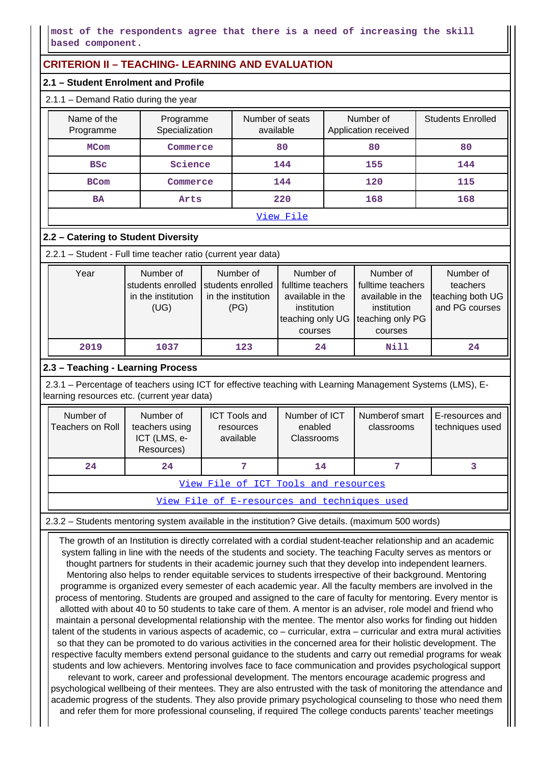## **most of the respondents agree that there is a need of increasing the skill based component.**

# **CRITERION II – TEACHING- LEARNING AND EVALUATION**

# **2.1 – Student Enrolment and Profile**

### 2.1.1 – Demand Ratio during the year

| Name of the<br>Programme | Number of seats<br>Programme<br>Specialization<br>available |     | Number of<br>Application received | <b>Students Enrolled</b> |  |  |
|--------------------------|-------------------------------------------------------------|-----|-----------------------------------|--------------------------|--|--|
| <b>MCom</b>              | Commerce                                                    |     | 80                                | 80                       |  |  |
| <b>BSC</b>               | Science                                                     |     | 155                               | 144                      |  |  |
| <b>BCom</b>              | Commerce                                                    | 144 | 120                               | 115                      |  |  |
| Arts<br>BA               |                                                             | 220 | 168                               | 168                      |  |  |
| View File                |                                                             |     |                                   |                          |  |  |

# **2.2 – Catering to Student Diversity**

2.2.1 – Student - Full time teacher ratio (current year data)

| Year | Number of<br>students enrolled<br>in the institution<br>(UG) | Number of<br>students enrolled<br>in the institution<br>(PG) | Number of<br>fulltime teachers<br>available in the<br>institution<br>teaching only UG teaching only PG<br>courses | Number of<br>fulltime teachers<br>available in the<br>institution<br>courses | Number of<br>teachers<br>teaching both UG<br>and PG courses |
|------|--------------------------------------------------------------|--------------------------------------------------------------|-------------------------------------------------------------------------------------------------------------------|------------------------------------------------------------------------------|-------------------------------------------------------------|
| 2019 | 1037                                                         | 123                                                          | 24                                                                                                                | Nill                                                                         | 24                                                          |

# **2.3 – Teaching - Learning Process**

 2.3.1 – Percentage of teachers using ICT for effective teaching with Learning Management Systems (LMS), Elearning resources etc. (current year data)

| Number of<br>Teachers on Roll               | Number of<br>teachers using<br>ICT (LMS, e-<br>Resources) | <b>ICT Tools and</b><br>resources<br>available | Number of ICT<br>enabled<br><b>Classrooms</b> | Numberof smart<br>classrooms | LE-resources and<br>techniques used |  |
|---------------------------------------------|-----------------------------------------------------------|------------------------------------------------|-----------------------------------------------|------------------------------|-------------------------------------|--|
| 24                                          | 24                                                        |                                                | 14                                            |                              |                                     |  |
| <u>View File of ICT Tools and resources</u> |                                                           |                                                |                                               |                              |                                     |  |

[View File of E-resources and techniques used](https://assessmentonline.naac.gov.in/public/Postacc/e_resource/12473_e_resource_1630144727.xlsx)

2.3.2 – Students mentoring system available in the institution? Give details. (maximum 500 words)

 The growth of an Institution is directly correlated with a cordial student-teacher relationship and an academic system falling in line with the needs of the students and society. The teaching Faculty serves as mentors or thought partners for students in their academic journey such that they develop into independent learners. Mentoring also helps to render equitable services to students irrespective of their background. Mentoring programme is organized every semester of each academic year. All the faculty members are involved in the process of mentoring. Students are grouped and assigned to the care of faculty for mentoring. Every mentor is allotted with about 40 to 50 students to take care of them. A mentor is an adviser, role model and friend who maintain a personal developmental relationship with the mentee. The mentor also works for finding out hidden talent of the students in various aspects of academic, co – curricular, extra – curricular and extra mural activities so that they can be promoted to do various activities in the concerned area for their holistic development. The respective faculty members extend personal guidance to the students and carry out remedial programs for weak students and low achievers. Mentoring involves face to face communication and provides psychological support relevant to work, career and professional development. The mentors encourage academic progress and psychological wellbeing of their mentees. They are also entrusted with the task of monitoring the attendance and academic progress of the students. They also provide primary psychological counseling to those who need them and refer them for more professional counseling, if required The college conducts parents' teacher meetings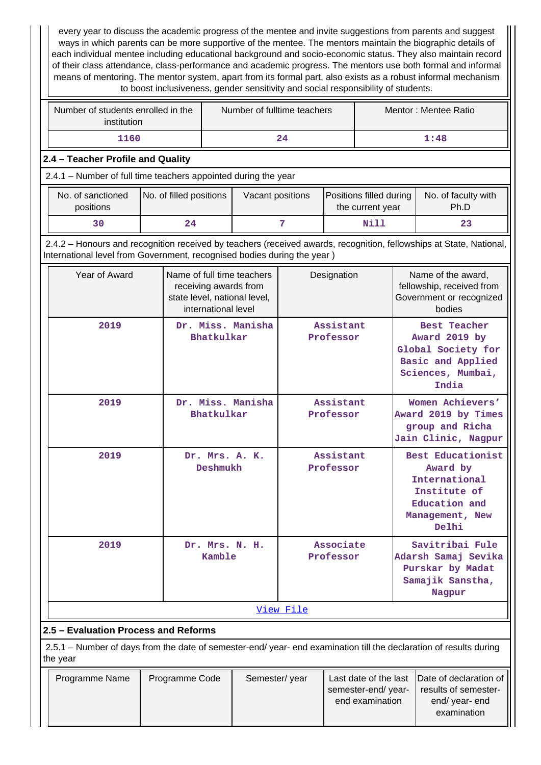every year to discuss the academic progress of the mentee and invite suggestions from parents and suggest ways in which parents can be more supportive of the mentee. The mentors maintain the biographic details of each individual mentee including educational background and socio-economic status. They also maintain record of their class attendance, class-performance and academic progress. The mentors use both formal and informal means of mentoring. The mentor system, apart from its formal part, also exists as a robust informal mechanism to boost inclusiveness, gender sensitivity and social responsibility of students.

| Number of students enrolled in the<br>institution | Number of fulltime teachers | Mentor: Mentee Ratio |  |  |
|---------------------------------------------------|-----------------------------|----------------------|--|--|
| 1160                                              | 24                          | 1:48                 |  |  |

# **2.4 – Teacher Profile and Quality**

2.4.1 – Number of full time teachers appointed during the year

| No. of sanctioned<br>positions | No. of filled positions | Vacant positions | Positions filled during<br>the current year | No. of faculty with<br>Ph.D |
|--------------------------------|-------------------------|------------------|---------------------------------------------|-----------------------------|
| 30                             | 24                      |                  | Nill                                        | 23                          |

 2.4.2 – Honours and recognition received by teachers (received awards, recognition, fellowships at State, National, International level from Government, recognised bodies during the year )

| Year of Award | Name of full time teachers<br>receiving awards from<br>state level, national level,<br>international level | Designation            |                                                                                                               |
|---------------|------------------------------------------------------------------------------------------------------------|------------------------|---------------------------------------------------------------------------------------------------------------|
| 2019          | Dr. Miss. Manisha<br>Bhatkulkar                                                                            | Assistant<br>Professor | <b>Best Teacher</b><br>Award 2019 by<br>Global Society for<br>Basic and Applied<br>Sciences, Mumbai,<br>India |
| 2019          | Dr. Miss. Manisha<br>Bhatkulkar                                                                            | Assistant<br>Professor | Women Achievers'<br>Award 2019 by Times<br>group and Richa<br>Jain Clinic, Nagpur                             |
| 2019          | Dr. Mrs. A. K.<br>Deshmukh                                                                                 | Assistant<br>Professor | Best Educationist<br>Award by<br>International<br>Institute of<br>Education and<br>Management, New<br>Delhi   |
| 2019          | Dr. Mrs. N. H.<br>Kamble                                                                                   | Associate<br>Professor | Savitribai Fule<br>Adarsh Samaj Sevika<br>Purskar by Madat<br>Samajik Sanstha,<br>Nagpur                      |
|               |                                                                                                            | View File              |                                                                                                               |

# **2.5 – Evaluation Process and Reforms**

 2.5.1 – Number of days from the date of semester-end/ year- end examination till the declaration of results during the year

| Programme Name | Programme Code | Semester/year |                                       | Last date of the last Date of declaration of |
|----------------|----------------|---------------|---------------------------------------|----------------------------------------------|
|                |                |               | semester-end/year-<br>end examination | results of semester-<br>end/ year- end       |
|                |                |               |                                       | examination                                  |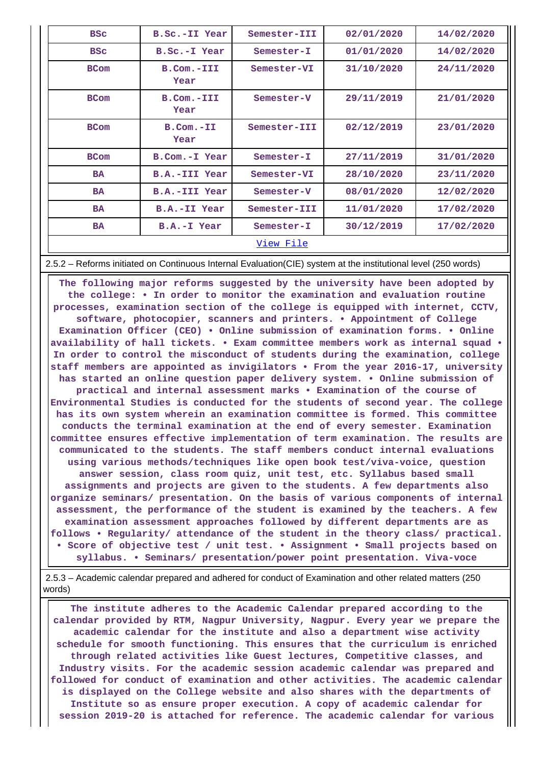| <b>BSC</b>  | B.Sc.-II Year           | Semester-III | 02/01/2020 | 14/02/2020 |  |  |
|-------------|-------------------------|--------------|------------|------------|--|--|
| <b>BSC</b>  | B.Sc.-I Year            | Semester-I   | 01/01/2020 | 14/02/2020 |  |  |
| <b>BCom</b> | B.Com.-III<br>Year      | Semester-VI  | 31/10/2020 | 24/11/2020 |  |  |
| <b>BCom</b> | B.Com.-III<br>Year      | Semester-V   | 29/11/2019 | 21/01/2020 |  |  |
| <b>BCom</b> | $B.$ Com. $-TI$<br>Year | Semester-III | 02/12/2019 | 23/01/2020 |  |  |
| <b>BCom</b> | B.Com.-I Year           | Semester-I   | 27/11/2019 | 31/01/2020 |  |  |
| <b>BA</b>   | B.A.-III Year           | Semester-VI  | 28/10/2020 | 23/11/2020 |  |  |
| <b>BA</b>   | B.A.-III Year           | Semester-V   | 08/01/2020 | 12/02/2020 |  |  |
| <b>BA</b>   | B.A.-II Year            | Semester-III | 11/01/2020 | 17/02/2020 |  |  |
| <b>BA</b>   | B.A.-I Year             | Semester-I   | 30/12/2019 | 17/02/2020 |  |  |
| View File   |                         |              |            |            |  |  |

2.5.2 – Reforms initiated on Continuous Internal Evaluation(CIE) system at the institutional level (250 words)

 **The following major reforms suggested by the university have been adopted by the college: • In order to monitor the examination and evaluation routine processes, examination section of the college is equipped with internet, CCTV, software, photocopier, scanners and printers. • Appointment of College Examination Officer (CEO) • Online submission of examination forms. • Online availability of hall tickets. • Exam committee members work as internal squad • In order to control the misconduct of students during the examination, college staff members are appointed as invigilators • From the year 2016-17, university has started an online question paper delivery system. • Online submission of practical and internal assessment marks • Examination of the course of Environmental Studies is conducted for the students of second year. The college has its own system wherein an examination committee is formed. This committee conducts the terminal examination at the end of every semester. Examination committee ensures effective implementation of term examination. The results are communicated to the students. The staff members conduct internal evaluations using various methods/techniques like open book test/viva-voice, question answer session, class room quiz, unit test, etc. Syllabus based small assignments and projects are given to the students. A few departments also organize seminars/ presentation. On the basis of various components of internal assessment, the performance of the student is examined by the teachers. A few examination assessment approaches followed by different departments are as follows • Regularity/ attendance of the student in the theory class/ practical. • Score of objective test / unit test. • Assignment • Small projects based on syllabus. • Seminars/ presentation/power point presentation. Viva-voce**

 2.5.3 – Academic calendar prepared and adhered for conduct of Examination and other related matters (250 words)

 **The institute adheres to the Academic Calendar prepared according to the calendar provided by RTM, Nagpur University, Nagpur. Every year we prepare the academic calendar for the institute and also a department wise activity schedule for smooth functioning. This ensures that the curriculum is enriched through related activities like Guest lectures, Competitive classes, and Industry visits. For the academic session academic calendar was prepared and followed for conduct of examination and other activities. The academic calendar is displayed on the College website and also shares with the departments of Institute so as ensure proper execution. A copy of academic calendar for session 2019-20 is attached for reference. The academic calendar for various**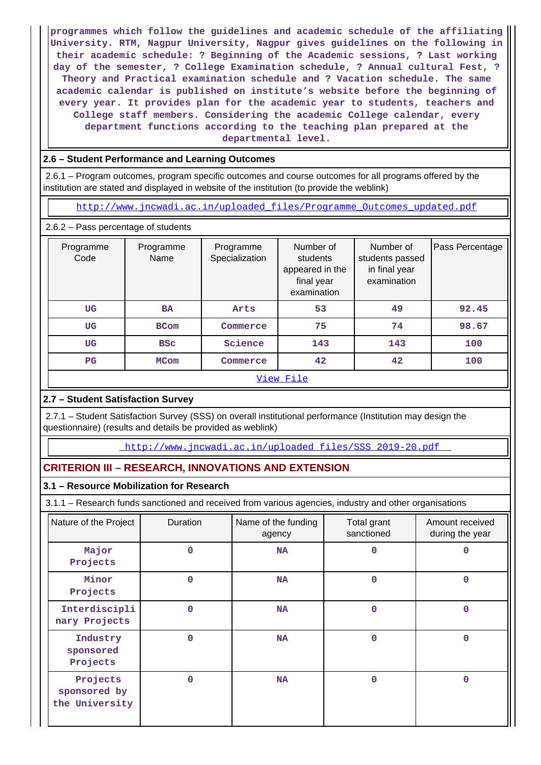**programmes which follow the guidelines and academic schedule of the affiliating University. RTM, Nagpur University, Nagpur gives guidelines on the following in their academic schedule: ? Beginning of the Academic sessions, ? Last working day of the semester, ? College Examination schedule, ? Annual cultural Fest, ? Theory and Practical examination schedule and ? Vacation schedule. The same academic calendar is published on institute's website before the beginning of every year. It provides plan for the academic year to students, teachers and College staff members. Considering the academic College calendar, every department functions according to the teaching plan prepared at the departmental level.**

#### **2.6 – Student Performance and Learning Outcomes**

 2.6.1 – Program outcomes, program specific outcomes and course outcomes for all programs offered by the institution are stated and displayed in website of the institution (to provide the weblink)

[http://www.jncwadi.ac.in/uploaded\\_files/Programme\\_Outcomes\\_updated.pdf](http://www.jncwadi.ac.in/uploaded_files/Programme_Outcomes_updated.pdf)

2.6.2 – Pass percentage of students

| Programme<br>Code | Programme<br>Name       | Programme<br>Specialization | Number of<br>students<br>appeared in the<br>final year<br>examination | Number of<br>students passed<br>in final year<br>examination | Pass Percentage |  |  |
|-------------------|-------------------------|-----------------------------|-----------------------------------------------------------------------|--------------------------------------------------------------|-----------------|--|--|
| <b>UG</b>         | <b>BA</b>               | Arts                        | 53                                                                    | 49                                                           | 92.45           |  |  |
| <b>UG</b>         | <b>BCom</b>             | Commerce                    | 75                                                                    | 74                                                           | 98.67           |  |  |
| <b>UG</b>         | <b>BSC</b>              | Science                     | 143                                                                   | 143                                                          | 100             |  |  |
| $_{\rm PG}$       | <b>MCom</b><br>Commerce |                             | 42                                                                    | 42                                                           | 100             |  |  |
| View File         |                         |                             |                                                                       |                                                              |                 |  |  |

# **2.7 – Student Satisfaction Survey**

 2.7.1 – Student Satisfaction Survey (SSS) on overall institutional performance (Institution may design the questionnaire) (results and details be provided as weblink)

[http://www.jncwadi.ac.in/uploaded\\_files/SSS\\_2019-20.pdf](http://www.jncwadi.ac.in/uploaded_files/SSS_2019-20.pdf) 

# **CRITERION III – RESEARCH, INNOVATIONS AND EXTENSION**

#### **3.1 – Resource Mobilization for Research**

3.1.1 – Research funds sanctioned and received from various agencies, industry and other organisations

| Nature of the Project                      | Duration | Name of the funding<br>agency | Total grant<br>sanctioned | Amount received<br>during the year |
|--------------------------------------------|----------|-------------------------------|---------------------------|------------------------------------|
| Major<br>Projects                          | 0        | NA                            | 0                         | 0                                  |
| Minor<br>Projects                          | 0        | <b>NA</b>                     | 0                         | $\mathbf 0$                        |
| Interdiscipli<br>nary Projects             | $\Omega$ | <b>NA</b>                     | $\Omega$                  | $\mathbf 0$                        |
| Industry<br>sponsored<br>Projects          | $\Omega$ | <b>NA</b>                     | 0                         | $\mathbf 0$                        |
| Projects<br>sponsored by<br>the University | $\Omega$ | <b>NA</b>                     | $\Omega$                  | $\Omega$                           |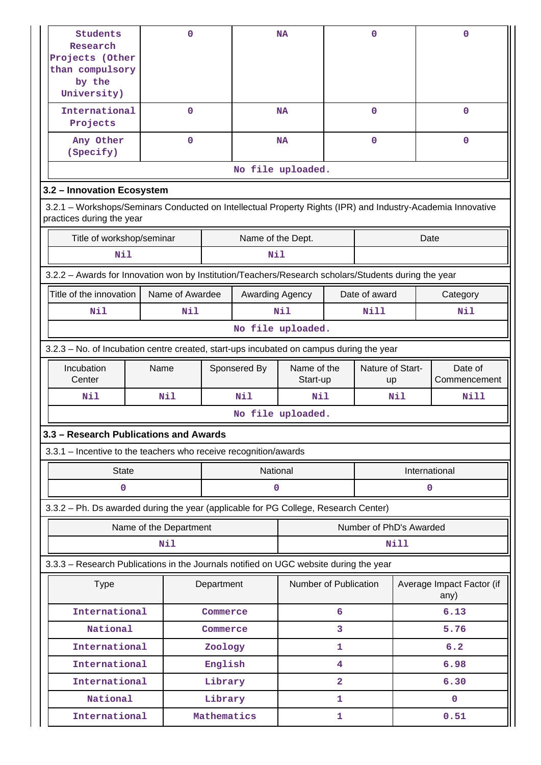| Students<br>Research<br>Projects (Other<br>than compulsory<br>by the<br>University)                                                      |  | 0                      |             | <b>NA</b>       |                         | 0                               |               |           | 0                                 |
|------------------------------------------------------------------------------------------------------------------------------------------|--|------------------------|-------------|-----------------|-------------------------|---------------------------------|---------------|-----------|-----------------------------------|
| International<br>Projects                                                                                                                |  | 0                      |             |                 | <b>NA</b>               |                                 | $\mathbf 0$   |           | $\mathbf 0$                       |
| Any Other<br>(Specify)                                                                                                                   |  | $\mathbf 0$            |             |                 | <b>NA</b>               |                                 | $\mathbf{O}$  |           | $\mathbf 0$                       |
|                                                                                                                                          |  | No file uploaded.      |             |                 |                         |                                 |               |           |                                   |
| 3.2 - Innovation Ecosystem                                                                                                               |  |                        |             |                 |                         |                                 |               |           |                                   |
| 3.2.1 - Workshops/Seminars Conducted on Intellectual Property Rights (IPR) and Industry-Academia Innovative<br>practices during the year |  |                        |             |                 |                         |                                 |               |           |                                   |
| Title of workshop/seminar<br>Name of the Dept.<br>Date                                                                                   |  |                        |             |                 |                         |                                 |               |           |                                   |
| Nil                                                                                                                                      |  |                        |             | Nil             |                         |                                 |               |           |                                   |
| 3.2.2 - Awards for Innovation won by Institution/Teachers/Research scholars/Students during the year                                     |  |                        |             |                 |                         |                                 |               |           |                                   |
| Title of the innovation                                                                                                                  |  | Name of Awardee        |             | Awarding Agency |                         |                                 | Date of award |           | Category                          |
| Nil                                                                                                                                      |  | Nil                    |             |                 | Nil                     |                                 | Nill          |           | Nil                               |
| No file uploaded.                                                                                                                        |  |                        |             |                 |                         |                                 |               |           |                                   |
| 3.2.3 – No. of Incubation centre created, start-ups incubated on campus during the year                                                  |  |                        |             |                 |                         |                                 |               |           |                                   |
| Incubation                                                                                                                               |  | Sponsered By<br>Name   |             |                 |                         | Nature of Start-<br>Name of the |               |           | Date of                           |
| Center                                                                                                                                   |  |                        |             |                 |                         | Start-up                        |               | <b>up</b> | Commencement                      |
| Nil                                                                                                                                      |  | <b>Nil</b>             |             | Nil             | Nil                     |                                 | Nil<br>Nill   |           |                                   |
|                                                                                                                                          |  |                        |             |                 | No file uploaded.       |                                 |               |           |                                   |
| 3.3 - Research Publications and Awards                                                                                                   |  |                        |             |                 |                         |                                 |               |           |                                   |
| 3.3.1 - Incentive to the teachers who receive recognition/awards                                                                         |  |                        |             |                 |                         |                                 |               |           |                                   |
| <b>State</b>                                                                                                                             |  |                        |             | National        |                         |                                 |               |           | International                     |
| 0                                                                                                                                        |  |                        |             | 0               |                         |                                 |               |           | 0                                 |
| 3.3.2 - Ph. Ds awarded during the year (applicable for PG College, Research Center)                                                      |  |                        |             |                 |                         |                                 |               |           |                                   |
|                                                                                                                                          |  | Name of the Department |             |                 | Number of PhD's Awarded |                                 |               |           |                                   |
|                                                                                                                                          |  | <b>Nil</b>             |             |                 |                         |                                 |               | Nill      |                                   |
| 3.3.3 - Research Publications in the Journals notified on UGC website during the year                                                    |  |                        |             |                 |                         |                                 |               |           |                                   |
| <b>Type</b>                                                                                                                              |  |                        | Department  |                 | Number of Publication   |                                 |               |           | Average Impact Factor (if<br>any) |
| International                                                                                                                            |  |                        | Commerce    |                 |                         | 6                               |               |           | 6.13                              |
| National                                                                                                                                 |  |                        | Commerce    |                 |                         | 3                               |               |           | 5.76                              |
| International                                                                                                                            |  |                        | Zoology     |                 |                         | 1                               |               |           | 6.2                               |
| International                                                                                                                            |  |                        | English     |                 |                         | 4                               |               |           | 6.98                              |
| International                                                                                                                            |  |                        | Library     |                 |                         | $\overline{a}$                  |               |           | 6.30                              |
| National                                                                                                                                 |  |                        | Library     |                 |                         | 1                               |               |           | $\mathbf{0}$                      |
| International                                                                                                                            |  |                        | Mathematics |                 | 1                       |                                 |               | 0.51      |                                   |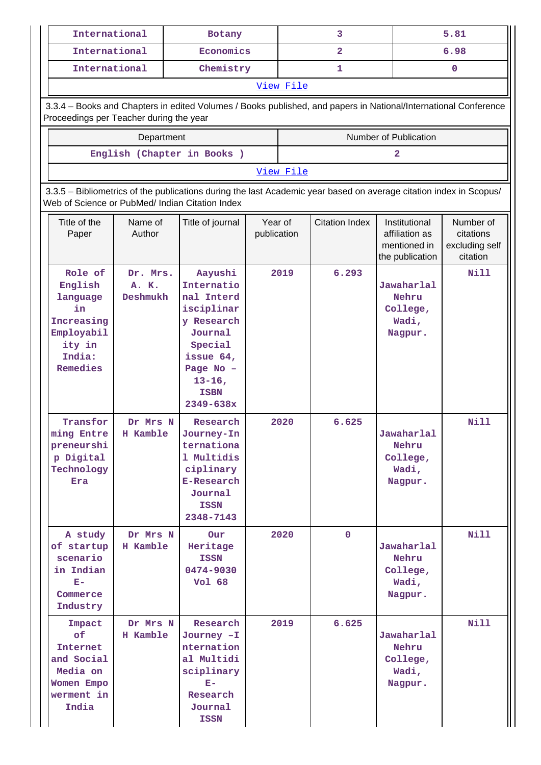| International                                                                                    |                                                                                                                                                                       | Botany                                                                                                                                                     |                        |           | 3                       |                                                                    | 5.81                                                 |  |  |  |  |  |
|--------------------------------------------------------------------------------------------------|-----------------------------------------------------------------------------------------------------------------------------------------------------------------------|------------------------------------------------------------------------------------------------------------------------------------------------------------|------------------------|-----------|-------------------------|--------------------------------------------------------------------|------------------------------------------------------|--|--|--|--|--|
| International                                                                                    |                                                                                                                                                                       | Economics                                                                                                                                                  |                        |           | $\overline{\mathbf{2}}$ |                                                                    | 6.98                                                 |  |  |  |  |  |
| International                                                                                    |                                                                                                                                                                       | Chemistry                                                                                                                                                  |                        |           | 1                       |                                                                    | $\mathbf{0}$                                         |  |  |  |  |  |
|                                                                                                  |                                                                                                                                                                       |                                                                                                                                                            |                        | View File |                         |                                                                    |                                                      |  |  |  |  |  |
|                                                                                                  |                                                                                                                                                                       | 3.3.4 - Books and Chapters in edited Volumes / Books published, and papers in National/International Conference                                            |                        |           |                         |                                                                    |                                                      |  |  |  |  |  |
| Proceedings per Teacher during the year                                                          |                                                                                                                                                                       |                                                                                                                                                            |                        |           |                         |                                                                    |                                                      |  |  |  |  |  |
|                                                                                                  | Department                                                                                                                                                            |                                                                                                                                                            |                        |           |                         | Number of Publication                                              |                                                      |  |  |  |  |  |
|                                                                                                  |                                                                                                                                                                       | English (Chapter in Books)                                                                                                                                 |                        |           |                         | 2                                                                  |                                                      |  |  |  |  |  |
|                                                                                                  |                                                                                                                                                                       |                                                                                                                                                            |                        | View File |                         |                                                                    |                                                      |  |  |  |  |  |
|                                                                                                  | 3.3.5 - Bibliometrics of the publications during the last Academic year based on average citation index in Scopus/<br>Web of Science or PubMed/ Indian Citation Index |                                                                                                                                                            |                        |           |                         |                                                                    |                                                      |  |  |  |  |  |
| Title of the<br>Paper                                                                            | Name of<br>Author                                                                                                                                                     | Title of journal                                                                                                                                           | Year of<br>publication |           | <b>Citation Index</b>   | Institutional<br>affiliation as<br>mentioned in<br>the publication | Number of<br>citations<br>excluding self<br>citation |  |  |  |  |  |
| Role of<br>English<br>language<br>in<br>Increasing<br>Employabil<br>ity in<br>India:<br>Remedies | Dr. Mrs.<br>A. K.<br>Deshmukh                                                                                                                                         | Aayushi<br>Internatio<br>nal Interd<br>isciplinar<br>y Research<br>Journal<br>Special<br>issue 64,<br>Page No -<br>$13 - 16$ ,<br><b>ISBN</b><br>2349-638x |                        | 2019      | 6.293                   | Jawaharlal<br>Nehru<br>College,<br>Wadi,<br>Nagpur.                | <b>Nill</b>                                          |  |  |  |  |  |
| Transfor<br>ming Entre<br>preneurshi<br>p Digital<br>Technology<br><b>Era</b>                    | Dr Mrs N<br>H Kamble                                                                                                                                                  | Research<br>Journey-In<br>ternationa<br>1 Multidis<br>ciplinary<br>E-Research<br>Journal<br><b>ISSN</b><br>2348-7143                                       |                        | 2020      | 6.625                   | Jawaharlal<br>Nehru<br>College,<br>Wadi,<br>Nagpur.                | <b>Nill</b>                                          |  |  |  |  |  |
| A study<br>of startup<br>scenario<br>in Indian<br>$E-$<br>Commerce<br>Industry                   | Dr Mrs N<br>H Kamble                                                                                                                                                  | Our<br>Heritage<br><b>ISSN</b><br>0474-9030<br>Vol 68                                                                                                      |                        | 2020      | $\mathbf{0}$            | Jawaharlal<br>Nehru<br>College,<br>Wadi,<br>Nagpur.                | <b>Nill</b>                                          |  |  |  |  |  |
| Impact<br>of<br>Internet<br>and Social<br>Media on<br>Women Empo<br>werment in<br>India          | Dr Mrs N<br>H Kamble                                                                                                                                                  | Research<br>Journey -I<br>nternation<br>al Multidi<br>sciplinary<br>$E-$<br>Research<br>Journal<br><b>ISSN</b>                                             |                        | 2019      | 6.625                   | Jawaharlal<br>Nehru<br>College,<br>Wadi,<br>Nagpur.                | <b>Nill</b>                                          |  |  |  |  |  |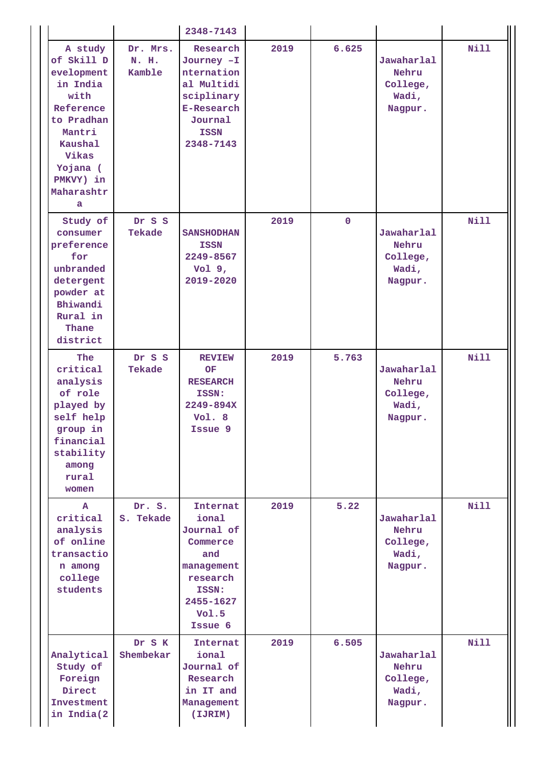|                                                                                                                                                              |                             | 2348-7143                                                                                                                    |      |             |                                                     |             |
|--------------------------------------------------------------------------------------------------------------------------------------------------------------|-----------------------------|------------------------------------------------------------------------------------------------------------------------------|------|-------------|-----------------------------------------------------|-------------|
| A study<br>of Skill D<br>evelopment<br>in India<br>with<br>Reference<br>to Pradhan<br>Mantri<br>Kaushal<br>Vikas<br>Yojana (<br>PMKVY) in<br>Maharashtr<br>a | Dr. Mrs.<br>N. H.<br>Kamble | Research<br>Journey -I<br>nternation<br>al Multidi<br>sciplinary<br><b>E-Research</b><br>Journal<br><b>ISSN</b><br>2348-7143 | 2019 | 6.625       | Jawaharlal<br>Nehru<br>College,<br>Wadi,<br>Nagpur. | <b>Nill</b> |
| Study of<br>consumer<br>preference<br>for<br>unbranded<br>detergent<br>powder at<br>Bhiwandi<br>Rural in<br>Thane<br>district                                | Dr S S<br>Tekade            | <b>SANSHODHAN</b><br><b>ISSN</b><br>2249-8567<br>$Vol9$ ,<br>2019-2020                                                       | 2019 | $\mathbf 0$ | Jawaharlal<br>Nehru<br>College,<br>Wadi,<br>Nagpur. | <b>Nill</b> |
| The<br>critical<br>analysis<br>of role<br>played by<br>self help<br>group in<br>financial<br>stability<br>among<br>rural<br>women                            | Dr S S<br>Tekade            | <b>REVIEW</b><br>OF<br><b>RESEARCH</b><br>ISSN:<br>2249-894X<br>Vol. 8<br>Issue 9                                            | 2019 | 5.763       | Jawaharlal<br>Nehru<br>College,<br>Wadi,<br>Nagpur. | <b>Nill</b> |
| A<br>critical<br>analysis<br>of online<br>transactio<br>n among<br>college<br>students                                                                       | Dr. S.<br>S. Tekade         | Internat<br>ional<br>Journal of<br>Commerce<br>and<br>management<br>research<br>ISSN:<br>2455-1627<br>Vol.5<br>Issue 6       | 2019 | 5.22        | Jawaharlal<br>Nehru<br>College,<br>Wadi,<br>Nagpur. | <b>Nill</b> |
| Analytical<br>Study of<br>Foreign<br>Direct<br>Investment<br>in India(2                                                                                      | Dr S K<br>Shembekar         | Internat<br>ional<br>Journal of<br>Research<br>in IT and<br>Management<br>(IJRIM)                                            | 2019 | 6.505       | Jawaharlal<br>Nehru<br>College,<br>Wadi,<br>Nagpur. | <b>Nill</b> |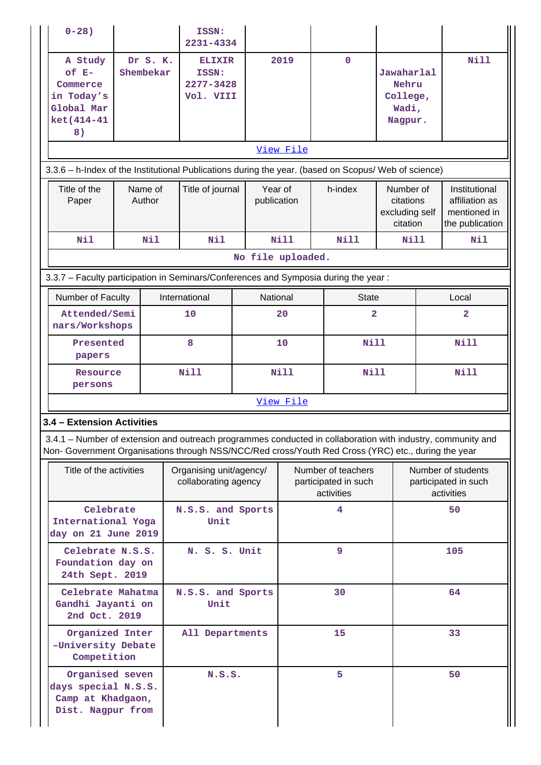| $0 - 28$ )                                                                                                                                                                                                         |                                                         |  | ISSN:<br>2231-4334                               |  |                                                                                                                                |                                                          |  |              |                                                      |                                                                    |                |  |
|--------------------------------------------------------------------------------------------------------------------------------------------------------------------------------------------------------------------|---------------------------------------------------------|--|--------------------------------------------------|--|--------------------------------------------------------------------------------------------------------------------------------|----------------------------------------------------------|--|--------------|------------------------------------------------------|--------------------------------------------------------------------|----------------|--|
| A Study<br>$of E-$<br>Commerce<br>in Today's<br>Global Mar<br>ket(414-41<br>8)                                                                                                                                     | Dr S. K.<br>Shembekar                                   |  | <b>ELIXIR</b><br>ISSN:<br>2277-3428<br>Vol. VIII |  |                                                                                                                                | 2019                                                     |  | $\mathbf 0$  | Jawaharlal<br>Nehru<br>College,<br>Wadi,<br>Nagpur.  |                                                                    | Nill           |  |
|                                                                                                                                                                                                                    |                                                         |  |                                                  |  |                                                                                                                                | View File                                                |  |              |                                                      |                                                                    |                |  |
| Title of the<br>Paper                                                                                                                                                                                              | Name of<br>Author                                       |  | Title of journal                                 |  | 3.3.6 - h-Index of the Institutional Publications during the year. (based on Scopus/ Web of science)<br>Year of<br>publication |                                                          |  | h-index      | Number of<br>citations<br>excluding self<br>citation | Institutional<br>affiliation as<br>mentioned in<br>the publication |                |  |
| <b>Nil</b>                                                                                                                                                                                                         | Nil                                                     |  | Nil                                              |  |                                                                                                                                | Nill                                                     |  | <b>Nill</b>  | <b>Nill</b>                                          |                                                                    | Nil            |  |
|                                                                                                                                                                                                                    |                                                         |  |                                                  |  |                                                                                                                                | No file uploaded.                                        |  |              |                                                      |                                                                    |                |  |
| 3.3.7 - Faculty participation in Seminars/Conferences and Symposia during the year:                                                                                                                                |                                                         |  |                                                  |  |                                                                                                                                |                                                          |  |              |                                                      |                                                                    |                |  |
| Number of Faculty                                                                                                                                                                                                  |                                                         |  | International                                    |  | National                                                                                                                       |                                                          |  | <b>State</b> |                                                      |                                                                    | Local          |  |
| Attended/Semi<br>nars/Workshops                                                                                                                                                                                    |                                                         |  | 10                                               |  |                                                                                                                                | 20                                                       |  | $\mathbf{2}$ |                                                      |                                                                    | $\overline{a}$ |  |
| Presented<br>papers                                                                                                                                                                                                |                                                         |  | 8                                                |  |                                                                                                                                | 10                                                       |  | Nill         |                                                      |                                                                    | Nill           |  |
| Resource<br>persons                                                                                                                                                                                                |                                                         |  | <b>Nill</b>                                      |  |                                                                                                                                | Nill                                                     |  | <b>Nill</b>  |                                                      |                                                                    | <b>Nill</b>    |  |
|                                                                                                                                                                                                                    |                                                         |  |                                                  |  |                                                                                                                                | View File                                                |  |              |                                                      |                                                                    |                |  |
| 3.4 - Extension Activities                                                                                                                                                                                         |                                                         |  |                                                  |  |                                                                                                                                |                                                          |  |              |                                                      |                                                                    |                |  |
| 3.4.1 – Number of extension and outreach programmes conducted in collaboration with industry, community and<br>Non- Government Organisations through NSS/NCC/Red cross/Youth Red Cross (YRC) etc., during the year |                                                         |  |                                                  |  |                                                                                                                                |                                                          |  |              |                                                      |                                                                    |                |  |
| Title of the activities                                                                                                                                                                                            |                                                         |  | Organising unit/agency/<br>collaborating agency  |  |                                                                                                                                | Number of teachers<br>participated in such<br>activities |  |              |                                                      | Number of students<br>participated in such<br>activities           |                |  |
| Celebrate<br>International Yoga<br>day on 21 June 2019                                                                                                                                                             |                                                         |  | N.S.S. and Sports<br>Unit                        |  |                                                                                                                                |                                                          |  | 4            |                                                      |                                                                    | 50             |  |
| Celebrate N.S.S.<br>Foundation day on<br>24th Sept. 2019                                                                                                                                                           |                                                         |  | N. S. S. Unit                                    |  |                                                                                                                                |                                                          |  | 9            |                                                      |                                                                    | 105            |  |
|                                                                                                                                                                                                                    | Celebrate Mahatma<br>Gandhi Jayanti on<br>2nd Oct. 2019 |  | N.S.S. and Sports<br>Unit                        |  |                                                                                                                                |                                                          |  | 30           |                                                      |                                                                    | 64             |  |
|                                                                                                                                                                                                                    | Organized Inter<br>-University Debate<br>Competition    |  | All Departments                                  |  |                                                                                                                                |                                                          |  | 15           |                                                      | 33                                                                 |                |  |
| Organised seven<br>days special N.S.S.<br>Camp at Khadgaon,<br>Dist. Nagpur from                                                                                                                                   |                                                         |  | N.S.S.                                           |  |                                                                                                                                |                                                          |  | 5            |                                                      |                                                                    | 50             |  |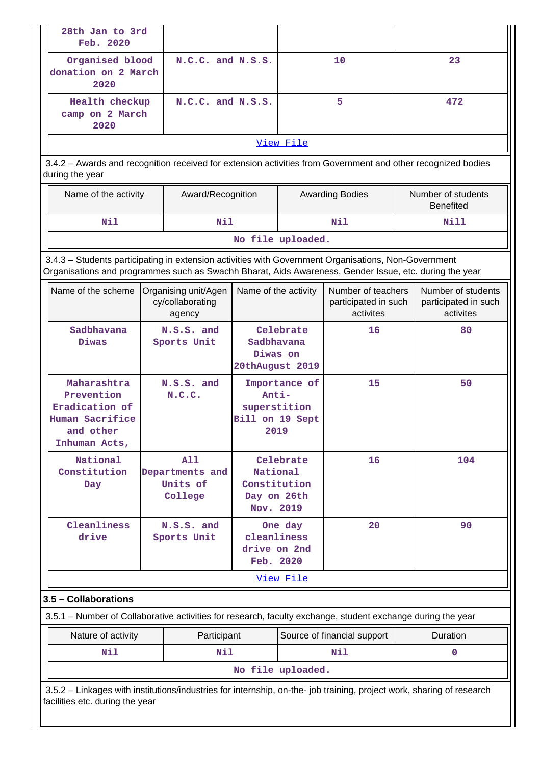| 28th Jan to 3rd<br>Feb. 2020                                                                                                                                                                                   |                                                                                                             |                                                    |                                                      |                   |                                                         |     |                                                         |  |  |  |
|----------------------------------------------------------------------------------------------------------------------------------------------------------------------------------------------------------------|-------------------------------------------------------------------------------------------------------------|----------------------------------------------------|------------------------------------------------------|-------------------|---------------------------------------------------------|-----|---------------------------------------------------------|--|--|--|
| Organised blood<br>donation on 2 March<br>2020                                                                                                                                                                 |                                                                                                             | N.C.C. and N.S.S.                                  |                                                      |                   | 10                                                      |     | 23                                                      |  |  |  |
| Health checkup<br>camp on 2 March<br>2020                                                                                                                                                                      |                                                                                                             | $N.C.C.$ and $N.S.S.$                              |                                                      | 5                 |                                                         | 472 |                                                         |  |  |  |
|                                                                                                                                                                                                                |                                                                                                             |                                                    |                                                      | View File         |                                                         |     |                                                         |  |  |  |
| 3.4.2 - Awards and recognition received for extension activities from Government and other recognized bodies<br>during the year                                                                                |                                                                                                             |                                                    |                                                      |                   |                                                         |     |                                                         |  |  |  |
| Name of the activity                                                                                                                                                                                           |                                                                                                             | Award/Recognition                                  |                                                      |                   | <b>Awarding Bodies</b>                                  |     | Number of students<br><b>Benefited</b>                  |  |  |  |
| Nil                                                                                                                                                                                                            |                                                                                                             | N11                                                |                                                      |                   | Nil                                                     |     | Nill                                                    |  |  |  |
|                                                                                                                                                                                                                |                                                                                                             |                                                    |                                                      | No file uploaded. |                                                         |     |                                                         |  |  |  |
| 3.4.3 - Students participating in extension activities with Government Organisations, Non-Government<br>Organisations and programmes such as Swachh Bharat, Aids Awareness, Gender Issue, etc. during the year |                                                                                                             |                                                    |                                                      |                   |                                                         |     |                                                         |  |  |  |
| Name of the scheme                                                                                                                                                                                             |                                                                                                             | Organising unit/Agen<br>cy/collaborating<br>agency | Name of the activity                                 |                   | Number of teachers<br>participated in such<br>activites |     | Number of students<br>participated in such<br>activites |  |  |  |
| Sadbhavana<br>Diwas                                                                                                                                                                                            |                                                                                                             | N.S.S. and<br>Sports Unit                          | Sadbhavana<br>Diwas on<br>20thAugust 2019            | Celebrate         | 16                                                      |     | 80                                                      |  |  |  |
| Maharashtra<br>Prevention<br>Eradication of<br>Human Sacrifice<br>and other<br>Inhuman Acts,                                                                                                                   |                                                                                                             | N.S.S. and<br>N.C.C.                               | Anti-<br>superstition<br>Bill on 19 Sept<br>2019     | Importance of     | 15                                                      |     | 50                                                      |  |  |  |
| National<br>Constitution<br>Day                                                                                                                                                                                |                                                                                                             | A11<br>Departments and<br>Units of<br>College      | National<br>Constitution<br>Day on 26th<br>Nov. 2019 | Celebrate         | 16                                                      |     | 104                                                     |  |  |  |
| Cleanliness<br>drive                                                                                                                                                                                           |                                                                                                             | N.S.S. and<br>Sports Unit                          | cleanliness<br>drive on 2nd<br>Feb. 2020             | One day           | 20                                                      |     | 90                                                      |  |  |  |
|                                                                                                                                                                                                                |                                                                                                             |                                                    |                                                      | View File         |                                                         |     |                                                         |  |  |  |
| 3.5 - Collaborations                                                                                                                                                                                           |                                                                                                             |                                                    |                                                      |                   |                                                         |     |                                                         |  |  |  |
|                                                                                                                                                                                                                | 3.5.1 – Number of Collaborative activities for research, faculty exchange, student exchange during the year |                                                    |                                                      |                   |                                                         |     |                                                         |  |  |  |
| Nature of activity                                                                                                                                                                                             |                                                                                                             | Participant                                        |                                                      |                   | Source of financial support                             |     | Duration                                                |  |  |  |
| Nil                                                                                                                                                                                                            |                                                                                                             | N11                                                |                                                      |                   | Nil                                                     |     | 0                                                       |  |  |  |
|                                                                                                                                                                                                                |                                                                                                             |                                                    |                                                      | No file uploaded. |                                                         |     |                                                         |  |  |  |
| 3.5.2 - Linkages with institutions/industries for internship, on-the- job training, project work, sharing of research<br>facilities etc. during the year                                                       |                                                                                                             |                                                    |                                                      |                   |                                                         |     |                                                         |  |  |  |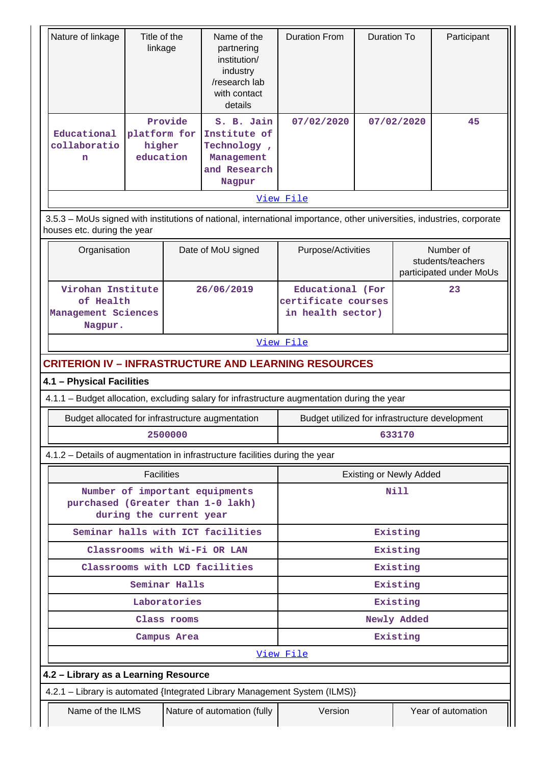| Nature of linkage                                                                           | Title of the<br>linkage                                                                                                                               |               | Name of the<br>partnering<br>institution/<br>industry<br>/research lab<br>with contact<br>details | <b>Duration From</b>                                         | <b>Duration To</b> | Participant |                                                           |  |  |  |  |
|---------------------------------------------------------------------------------------------|-------------------------------------------------------------------------------------------------------------------------------------------------------|---------------|---------------------------------------------------------------------------------------------------|--------------------------------------------------------------|--------------------|-------------|-----------------------------------------------------------|--|--|--|--|
| Educational<br>collaboratio<br>n                                                            | platform for<br>higher<br>education                                                                                                                   | Provide       | S. B. Jain<br>Institute of<br>Technology,<br>Management<br>and Research<br>Nagpur                 | 07/02/2020                                                   |                    | 07/02/2020  | 45                                                        |  |  |  |  |
|                                                                                             |                                                                                                                                                       |               |                                                                                                   | View File                                                    |                    |             |                                                           |  |  |  |  |
|                                                                                             | 3.5.3 - MoUs signed with institutions of national, international importance, other universities, industries, corporate<br>houses etc. during the year |               |                                                                                                   |                                                              |                    |             |                                                           |  |  |  |  |
|                                                                                             | Date of MoU signed<br>Organisation                                                                                                                    |               |                                                                                                   |                                                              | Purpose/Activities |             | Number of<br>students/teachers<br>participated under MoUs |  |  |  |  |
| Virohan Institute<br>of Health<br>Management Sciences<br>Nagpur.                            |                                                                                                                                                       |               | 26/06/2019                                                                                        | Educational (For<br>certificate courses<br>in health sector) |                    |             | 23                                                        |  |  |  |  |
|                                                                                             |                                                                                                                                                       |               |                                                                                                   | View File                                                    |                    |             |                                                           |  |  |  |  |
| <b>CRITERION IV - INFRASTRUCTURE AND LEARNING RESOURCES</b>                                 |                                                                                                                                                       |               |                                                                                                   |                                                              |                    |             |                                                           |  |  |  |  |
| 4.1 - Physical Facilities                                                                   |                                                                                                                                                       |               |                                                                                                   |                                                              |                    |             |                                                           |  |  |  |  |
| 4.1.1 - Budget allocation, excluding salary for infrastructure augmentation during the year |                                                                                                                                                       |               |                                                                                                   |                                                              |                    |             |                                                           |  |  |  |  |
| Budget allocated for infrastructure augmentation                                            |                                                                                                                                                       |               |                                                                                                   | Budget utilized for infrastructure development               |                    |             |                                                           |  |  |  |  |
|                                                                                             |                                                                                                                                                       | 2500000       |                                                                                                   | 633170                                                       |                    |             |                                                           |  |  |  |  |
| 4.1.2 - Details of augmentation in infrastructure facilities during the year                |                                                                                                                                                       |               |                                                                                                   |                                                              |                    |             |                                                           |  |  |  |  |
|                                                                                             | <b>Facilities</b>                                                                                                                                     |               |                                                                                                   | <b>Existing or Newly Added</b>                               |                    |             |                                                           |  |  |  |  |
| purchased (Greater than 1-0 lakh)                                                           | during the current year                                                                                                                               |               | Number of important equipments                                                                    |                                                              |                    | N11         |                                                           |  |  |  |  |
|                                                                                             |                                                                                                                                                       |               | Seminar halls with ICT facilities                                                                 |                                                              |                    | Existing    |                                                           |  |  |  |  |
|                                                                                             |                                                                                                                                                       |               | Classrooms with Wi-Fi OR LAN                                                                      |                                                              |                    | Existing    |                                                           |  |  |  |  |
|                                                                                             |                                                                                                                                                       |               | Classrooms with LCD facilities                                                                    |                                                              |                    | Existing    |                                                           |  |  |  |  |
|                                                                                             |                                                                                                                                                       | Seminar Halls |                                                                                                   |                                                              |                    | Existing    |                                                           |  |  |  |  |
|                                                                                             |                                                                                                                                                       | Laboratories  |                                                                                                   |                                                              |                    | Existing    |                                                           |  |  |  |  |
|                                                                                             |                                                                                                                                                       | Class rooms   |                                                                                                   |                                                              |                    | Newly Added |                                                           |  |  |  |  |
|                                                                                             | Campus Area                                                                                                                                           |               |                                                                                                   |                                                              |                    | Existing    |                                                           |  |  |  |  |
|                                                                                             |                                                                                                                                                       |               |                                                                                                   | <u>View File</u>                                             |                    |             |                                                           |  |  |  |  |
| 4.2 - Library as a Learning Resource                                                        |                                                                                                                                                       |               |                                                                                                   |                                                              |                    |             |                                                           |  |  |  |  |
| 4.2.1 - Library is automated {Integrated Library Management System (ILMS)}                  |                                                                                                                                                       |               |                                                                                                   |                                                              |                    |             |                                                           |  |  |  |  |
| Name of the ILMS                                                                            |                                                                                                                                                       |               | Nature of automation (fully                                                                       | Version                                                      |                    |             | Year of automation                                        |  |  |  |  |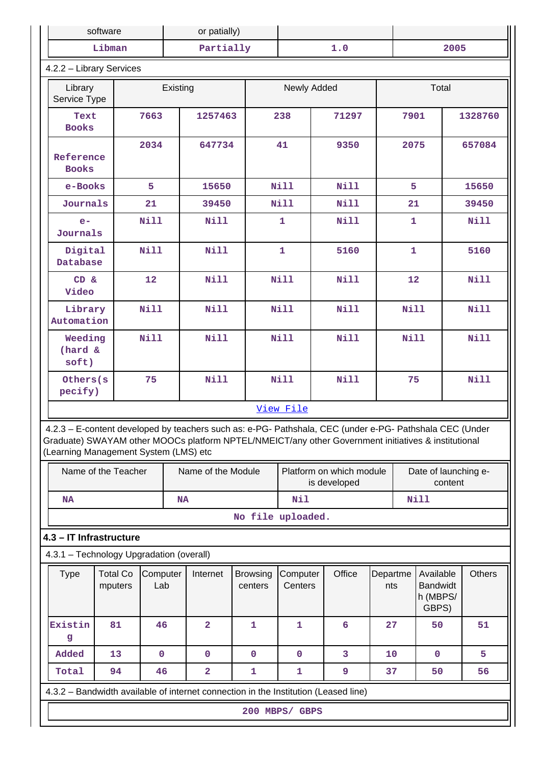|                                                                                                                                                                                                                                                         | software<br>or patially)                                                                |             |           |                         |              |             |                                                                             |       |             |                 |              |                                                   |         |               |
|---------------------------------------------------------------------------------------------------------------------------------------------------------------------------------------------------------------------------------------------------------|-----------------------------------------------------------------------------------------|-------------|-----------|-------------------------|--------------|-------------|-----------------------------------------------------------------------------|-------|-------------|-----------------|--------------|---------------------------------------------------|---------|---------------|
|                                                                                                                                                                                                                                                         | Libman                                                                                  |             |           | Partially               |              |             |                                                                             |       | 1.0         |                 |              |                                                   | 2005    |               |
| 4.2.2 - Library Services                                                                                                                                                                                                                                |                                                                                         |             |           |                         |              |             |                                                                             |       |             |                 |              |                                                   |         |               |
| Library<br>Service Type                                                                                                                                                                                                                                 |                                                                                         |             | Existing  |                         |              |             | Newly Added                                                                 |       |             |                 |              | Total                                             |         |               |
| Text<br><b>Books</b>                                                                                                                                                                                                                                    | 7663                                                                                    |             | 1257463   |                         | 238          |             |                                                                             | 71297 | 7901        |                 |              |                                                   | 1328760 |               |
| Reference<br><b>Books</b>                                                                                                                                                                                                                               |                                                                                         | 2034        |           | 647734                  |              |             | 41                                                                          |       | 9350        |                 |              | 2075                                              |         | 657084        |
| e-Books                                                                                                                                                                                                                                                 |                                                                                         | 5           |           | 15650                   |              |             | <b>Nill</b>                                                                 |       | <b>Nill</b> |                 | 5            |                                                   |         | 15650         |
| Journals                                                                                                                                                                                                                                                |                                                                                         | 21          |           | 39450                   |              |             | Nill                                                                        |       | Nill        |                 | 21           |                                                   |         | 39450         |
| $e-$<br>Journals                                                                                                                                                                                                                                        |                                                                                         | <b>Nill</b> |           | Nill                    |              |             | $\mathbf{1}$                                                                |       | <b>Nill</b> |                 | $\mathbf{1}$ |                                                   |         | <b>Nill</b>   |
| Digital<br>Database                                                                                                                                                                                                                                     |                                                                                         | <b>Nill</b> |           | <b>Nill</b>             |              |             | $\mathbf{1}$                                                                |       | 5160        |                 | $\mathbf{1}$ |                                                   |         | 5160          |
| CD &<br>Video                                                                                                                                                                                                                                           |                                                                                         | 12          |           | <b>Nill</b>             |              |             | <b>Nill</b>                                                                 |       | Nill        |                 | 12           |                                                   |         | <b>Nill</b>   |
| Library<br>Automation                                                                                                                                                                                                                                   | <b>Nill</b>                                                                             |             |           | <b>Nill</b>             |              |             | <b>Nill</b>                                                                 |       | <b>Nill</b> |                 | <b>Nill</b>  |                                                   |         | <b>Nill</b>   |
| Weeding<br>(hard &<br>soft)                                                                                                                                                                                                                             |                                                                                         | <b>Nill</b> |           | <b>Nill</b>             |              | <b>Nill</b> |                                                                             |       | <b>Nill</b> |                 |              | Nill                                              |         | <b>Nill</b>   |
| Others(s<br>pecify)                                                                                                                                                                                                                                     |                                                                                         | 75          |           | <b>Nill</b>             |              |             | <b>Nill</b>                                                                 |       | Nill        |                 | 75           |                                                   |         | <b>Nill</b>   |
|                                                                                                                                                                                                                                                         |                                                                                         |             |           |                         |              |             | View File                                                                   |       |             |                 |              |                                                   |         |               |
| 4.2.3 - E-content developed by teachers such as: e-PG- Pathshala, CEC (under e-PG- Pathshala CEC (Under<br>Graduate) SWAYAM other MOOCs platform NPTEL/NMEICT/any other Government initiatives & institutional<br>(Learning Management System (LMS) etc |                                                                                         |             |           |                         |              |             |                                                                             |       |             |                 |              |                                                   |         |               |
|                                                                                                                                                                                                                                                         | Name of the Teacher                                                                     |             |           | Name of the Module      |              |             | Platform on which module<br>Date of launching e-<br>is developed<br>content |       |             |                 |              |                                                   |         |               |
| NA                                                                                                                                                                                                                                                      |                                                                                         |             | <b>NA</b> |                         |              |             | Nil                                                                         |       |             |                 |              | <b>Nill</b>                                       |         |               |
|                                                                                                                                                                                                                                                         |                                                                                         |             |           |                         |              |             | No file uploaded.                                                           |       |             |                 |              |                                                   |         |               |
| 4.3 - IT Infrastructure                                                                                                                                                                                                                                 |                                                                                         |             |           |                         |              |             |                                                                             |       |             |                 |              |                                                   |         |               |
| 4.3.1 - Technology Upgradation (overall)                                                                                                                                                                                                                |                                                                                         |             |           |                         |              |             |                                                                             |       |             |                 |              |                                                   |         |               |
| <b>Type</b>                                                                                                                                                                                                                                             | <b>Total Co</b><br>Computer<br>Internet<br><b>Browsing</b><br>Lab<br>mputers<br>centers |             |           |                         |              |             | Computer<br>Centers                                                         |       | Office      | Departme<br>nts |              | Available<br><b>Bandwidt</b><br>h (MBPS/<br>GBPS) |         | <b>Others</b> |
| Existin<br>g                                                                                                                                                                                                                                            | 81                                                                                      | 46          |           | $\mathbf{2}$            | 1            |             | 1                                                                           |       | 6           | 27              |              | 50                                                |         | 51            |
| Added                                                                                                                                                                                                                                                   | 13                                                                                      | $\mathbf 0$ |           | $\mathbf 0$             | $\mathbf 0$  |             | $\mathbf 0$                                                                 |       | 3           | 10              |              | $\mathbf 0$                                       |         | 5             |
| Total                                                                                                                                                                                                                                                   | 94                                                                                      | 46          |           | $\overline{\mathbf{2}}$ | $\mathbf{1}$ |             | $\mathbf{1}$                                                                |       | 9           | 37              |              | 50                                                |         | 56            |
| 4.3.2 - Bandwidth available of internet connection in the Institution (Leased line)                                                                                                                                                                     |                                                                                         |             |           |                         |              |             |                                                                             |       |             |                 |              |                                                   |         |               |
|                                                                                                                                                                                                                                                         |                                                                                         |             |           |                         |              |             | 200 MBPS/ GBPS                                                              |       |             |                 |              |                                                   |         |               |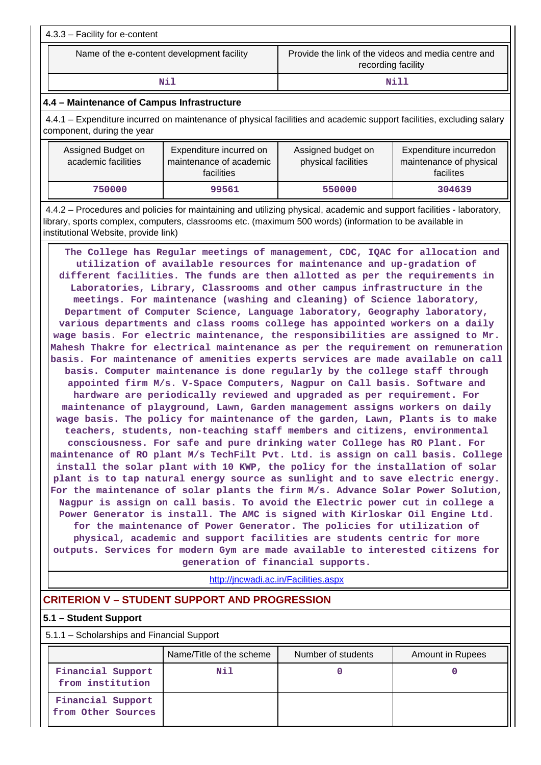| $4.3.3 -$ Facility for e-content           |                                                                           |
|--------------------------------------------|---------------------------------------------------------------------------|
| Name of the e-content development facility | Provide the link of the videos and media centre and<br>recording facility |
| Nil                                        | <b>Nill</b>                                                               |

#### **4.4 – Maintenance of Campus Infrastructure**

 4.4.1 – Expenditure incurred on maintenance of physical facilities and academic support facilities, excluding salary component, during the year

| Assigned Budget on<br>academic facilities | Expenditure incurred on<br>maintenance of academic<br>facilities | Assigned budget on<br>physical facilities | Expenditure incurredon<br>maintenance of physical<br>facilites |
|-------------------------------------------|------------------------------------------------------------------|-------------------------------------------|----------------------------------------------------------------|
| 750000                                    | 99561                                                            | 550000                                    | 304639                                                         |

 4.4.2 – Procedures and policies for maintaining and utilizing physical, academic and support facilities - laboratory, library, sports complex, computers, classrooms etc. (maximum 500 words) (information to be available in institutional Website, provide link)

 **The College has Regular meetings of management, CDC, IQAC for allocation and utilization of available resources for maintenance and up-gradation of different facilities. The funds are then allotted as per the requirements in Laboratories, Library, Classrooms and other campus infrastructure in the meetings. For maintenance (washing and cleaning) of Science laboratory, Department of Computer Science, Language laboratory, Geography laboratory, various departments and class rooms college has appointed workers on a daily wage basis. For electric maintenance, the responsibilities are assigned to Mr. Mahesh Thakre for electrical maintenance as per the requirement on remuneration basis. For maintenance of amenities experts services are made available on call basis. Computer maintenance is done regularly by the college staff through appointed firm M/s. V-Space Computers, Nagpur on Call basis. Software and hardware are periodically reviewed and upgraded as per requirement. For maintenance of playground, Lawn, Garden management assigns workers on daily wage basis. The policy for maintenance of the garden, Lawn, Plants is to make teachers, students, non-teaching staff members and citizens, environmental consciousness. For safe and pure drinking water College has RO Plant. For maintenance of RO plant M/s TechFilt Pvt. Ltd. is assign on call basis. College install the solar plant with 10 KWP, the policy for the installation of solar plant is to tap natural energy source as sunlight and to save electric energy. For the maintenance of solar plants the firm M/s. Advance Solar Power Solution, Nagpur is assign on call basis. To avoid the Electric power cut in college a Power Generator is install. The AMC is signed with Kirloskar Oil Engine Ltd. for the maintenance of Power Generator. The policies for utilization of physical, academic and support facilities are students centric for more outputs. Services for modern Gym are made available to interested citizens for generation of financial supports.**

<http://jncwadi.ac.in/Facilities.aspx>

# **CRITERION V – STUDENT SUPPORT AND PROGRESSION**

#### **5.1 – Student Support**

5.1.1 – Scholarships and Financial Support

|                                         | Name/Title of the scheme | Number of students | <b>Amount in Rupees</b> |
|-----------------------------------------|--------------------------|--------------------|-------------------------|
| Financial Support<br>from institution   | Nil                      |                    |                         |
| Financial Support<br>from Other Sources |                          |                    |                         |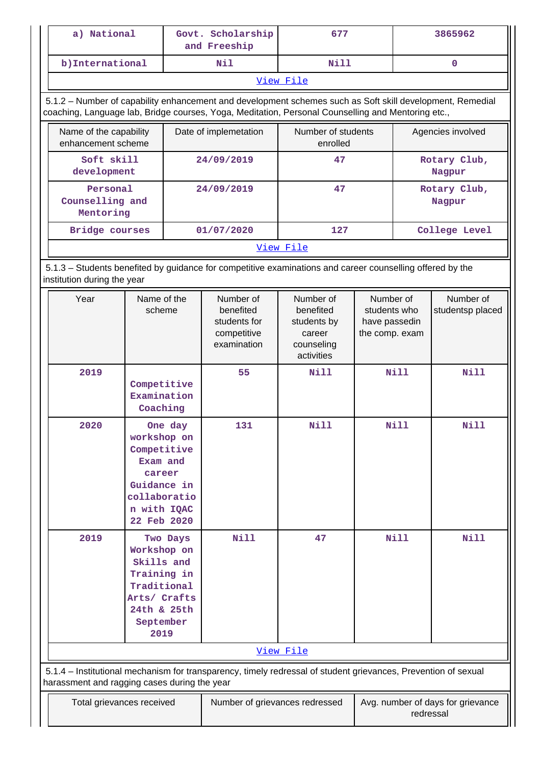| a) National                                                                                                                 |                                                                                                               |          | Govt. Scholarship<br>and Freeship                                                                                                                                                                               | 677                                                                         |                                                              | 3865962     |                               |  |  |
|-----------------------------------------------------------------------------------------------------------------------------|---------------------------------------------------------------------------------------------------------------|----------|-----------------------------------------------------------------------------------------------------------------------------------------------------------------------------------------------------------------|-----------------------------------------------------------------------------|--------------------------------------------------------------|-------------|-------------------------------|--|--|
| b) International                                                                                                            |                                                                                                               |          | Nil                                                                                                                                                                                                             | <b>Nill</b>                                                                 |                                                              |             | $\mathbf{O}$                  |  |  |
|                                                                                                                             |                                                                                                               |          |                                                                                                                                                                                                                 | View File                                                                   |                                                              |             |                               |  |  |
|                                                                                                                             |                                                                                                               |          | 5.1.2 - Number of capability enhancement and development schemes such as Soft skill development, Remedial<br>coaching, Language lab, Bridge courses, Yoga, Meditation, Personal Counselling and Mentoring etc., |                                                                             |                                                              |             |                               |  |  |
| Name of the capability<br>enhancement scheme                                                                                |                                                                                                               |          | Date of implemetation                                                                                                                                                                                           | Number of students<br>enrolled                                              |                                                              |             | Agencies involved             |  |  |
| Soft skill<br>development                                                                                                   |                                                                                                               |          | 24/09/2019                                                                                                                                                                                                      | 47                                                                          |                                                              |             | Rotary Club,<br>Nagpur        |  |  |
| Personal<br>Counselling and<br>Mentoring                                                                                    |                                                                                                               |          | 24/09/2019                                                                                                                                                                                                      | 47                                                                          |                                                              |             | Rotary Club,<br>Nagpur        |  |  |
| Bridge courses                                                                                                              |                                                                                                               |          | 01/07/2020                                                                                                                                                                                                      | 127                                                                         |                                                              |             | College Level                 |  |  |
|                                                                                                                             |                                                                                                               |          |                                                                                                                                                                                                                 | View File                                                                   |                                                              |             |                               |  |  |
| institution during the year                                                                                                 |                                                                                                               |          | 5.1.3 – Students benefited by guidance for competitive examinations and career counselling offered by the                                                                                                       |                                                                             |                                                              |             |                               |  |  |
| Year                                                                                                                        | Name of the<br>scheme                                                                                         |          |                                                                                                                                                                                                                 | Number of<br>benefited<br>students by<br>career<br>counseling<br>activities | Number of<br>students who<br>have passedin<br>the comp. exam |             | Number of<br>studentsp placed |  |  |
| 2019                                                                                                                        | Competitive<br>Examination<br>Coaching                                                                        |          | 55                                                                                                                                                                                                              | <b>Nill</b>                                                                 |                                                              | <b>Nill</b> | <b>Nill</b>                   |  |  |
| 2020                                                                                                                        | workshop on<br>Competitive<br>Exam and<br>career<br>Guidance in<br>collaboratio<br>n with IQAC<br>22 Feb 2020 | One day  | 131                                                                                                                                                                                                             | <b>Nill</b>                                                                 |                                                              | Nill        | Nill                          |  |  |
| 2019                                                                                                                        | Workshop on<br>Skills and<br>Training in<br>Traditional<br>Arts/ Crafts<br>24th & 25th<br>September<br>2019   | Two Days | <b>Nill</b>                                                                                                                                                                                                     | 47                                                                          |                                                              | <b>Nill</b> | <b>Nill</b>                   |  |  |
| View File<br>5.1.4 – Institutional mechanism for transparency, timely redressal of student grievances, Prevention of sexual |                                                                                                               |          |                                                                                                                                                                                                                 |                                                                             |                                                              |             |                               |  |  |
| harassment and ragging cases during the year<br>Total grievances received                                                   |                                                                                                               |          | Number of grievances redressed                                                                                                                                                                                  |                                                                             | Avg. number of days for grievance<br>redressal               |             |                               |  |  |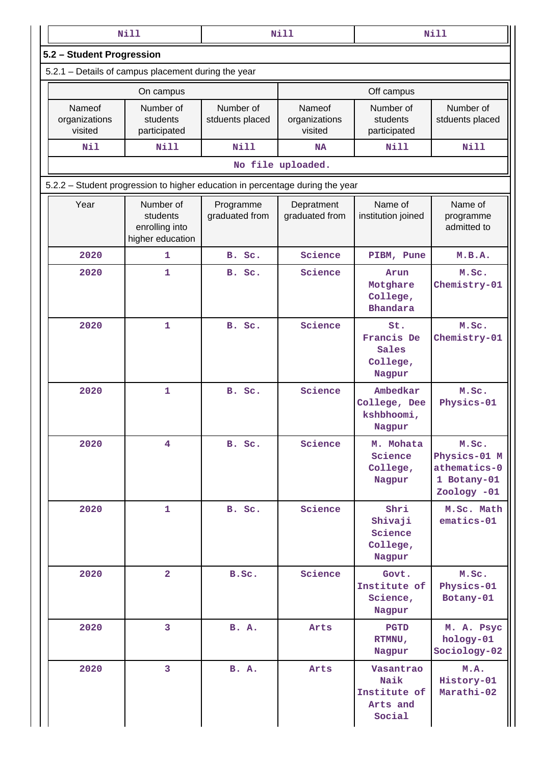|                                                                               | <b>Nill</b>                                                 |                              | <b>Nill</b>                        |                                                         | <b>Nill</b>                                                         |  |  |  |  |
|-------------------------------------------------------------------------------|-------------------------------------------------------------|------------------------------|------------------------------------|---------------------------------------------------------|---------------------------------------------------------------------|--|--|--|--|
| 5.2 - Student Progression                                                     |                                                             |                              |                                    |                                                         |                                                                     |  |  |  |  |
|                                                                               | 5.2.1 – Details of campus placement during the year         |                              |                                    |                                                         |                                                                     |  |  |  |  |
|                                                                               | On campus                                                   |                              |                                    | Off campus                                              |                                                                     |  |  |  |  |
| Nameof<br>organizations<br>visited                                            | Number of<br>students<br>participated                       | Number of<br>stduents placed | Nameof<br>organizations<br>visited | Number of<br>students<br>participated                   | Number of<br>stduents placed                                        |  |  |  |  |
| Nil                                                                           | <b>Nill</b>                                                 | <b>Nill</b>                  | <b>NA</b>                          | <b>Nill</b>                                             | <b>Nill</b>                                                         |  |  |  |  |
|                                                                               |                                                             |                              | No file uploaded.                  |                                                         |                                                                     |  |  |  |  |
| 5.2.2 - Student progression to higher education in percentage during the year |                                                             |                              |                                    |                                                         |                                                                     |  |  |  |  |
| Year                                                                          | Number of<br>students<br>enrolling into<br>higher education | Programme<br>graduated from  | Depratment<br>graduated from       | Name of<br>institution joined                           | Name of<br>programme<br>admitted to                                 |  |  |  |  |
| 2020                                                                          | 1                                                           | B. Sc.                       | Science                            | PIBM, Pune                                              | M.B.A.                                                              |  |  |  |  |
| 2020                                                                          | 1                                                           | B. Sc.                       | Science                            | Arun<br>Motghare<br>College,<br><b>Bhandara</b>         | M.Sc.<br>Chemistry-01                                               |  |  |  |  |
| 2020                                                                          | 1                                                           | B. Sc.                       | Science                            | St.<br>Francis De<br>Sales<br>College,<br>Nagpur        | M.Sc.<br>Chemistry-01                                               |  |  |  |  |
| 2020                                                                          | $\mathbf{1}$                                                | B. Sc.                       | Science                            | Ambedkar<br>College, Dee<br>kshbhoomi,<br>Nagpur        | M.Sc.<br>Physics-01                                                 |  |  |  |  |
| 2020                                                                          | $\overline{\mathbf{4}}$                                     | B. Sc.                       | Science                            | M. Mohata<br>Science<br>College,<br>Nagpur              | M.Sc.<br>Physics-01 M<br>athematics-0<br>1 Botany-01<br>Zoology -01 |  |  |  |  |
| 2020                                                                          | 1                                                           | B. Sc.                       | Science                            | Shri<br>Shivaji<br>Science<br>College,<br>Nagpur        | M.Sc. Math<br>ematics-01                                            |  |  |  |  |
| 2020                                                                          | $\overline{a}$                                              | B.Sc.                        | Science                            | Govt.<br>Institute of<br>Science,<br>Nagpur             | M.Sc.<br>Physics-01<br>Botany-01                                    |  |  |  |  |
| 2020                                                                          | 3                                                           | <b>B. A.</b>                 | Arts                               | <b>PGTD</b><br>RTMNU,<br>Nagpur                         | M. A. Psyc<br>hology-01<br>Sociology-02                             |  |  |  |  |
| 2020                                                                          | 3                                                           | <b>B. A.</b>                 | Arts                               | Vasantrao<br>Naik<br>Institute of<br>Arts and<br>Social | M.A.<br>History-01<br>Marathi-02                                    |  |  |  |  |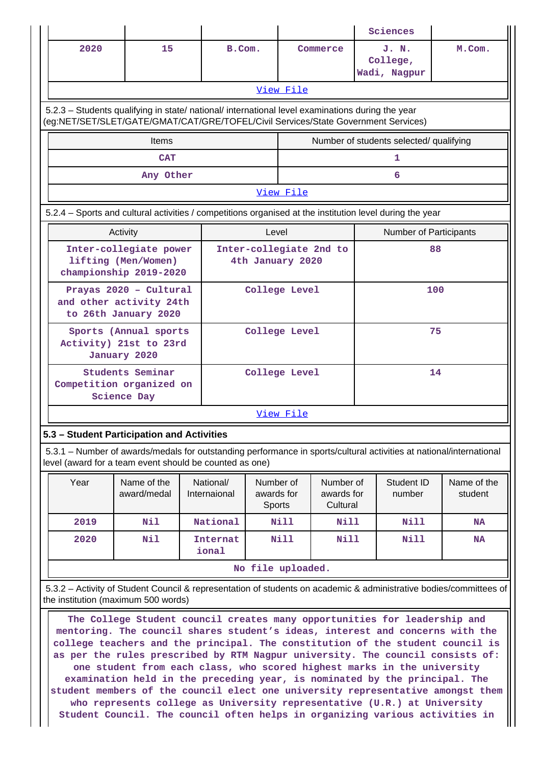|                                                                                                                                                                                        |                                                                           |  |                                             |                                          |                                     |                                                | Sciences                                |           |  |  |  |
|----------------------------------------------------------------------------------------------------------------------------------------------------------------------------------------|---------------------------------------------------------------------------|--|---------------------------------------------|------------------------------------------|-------------------------------------|------------------------------------------------|-----------------------------------------|-----------|--|--|--|
| 2020                                                                                                                                                                                   | 15                                                                        |  | B.Com.                                      |                                          | Commerce                            |                                                | J. N.<br>College,<br>Wadi, Nagpur       | M.Com.    |  |  |  |
|                                                                                                                                                                                        |                                                                           |  |                                             | View File                                |                                     |                                                |                                         |           |  |  |  |
| 5.2.3 - Students qualifying in state/ national/ international level examinations during the year<br>(eg:NET/SET/SLET/GATE/GMAT/CAT/GRE/TOFEL/Civil Services/State Government Services) |                                                                           |  |                                             |                                          |                                     |                                                |                                         |           |  |  |  |
|                                                                                                                                                                                        | <b>Items</b>                                                              |  |                                             |                                          |                                     |                                                | Number of students selected/ qualifying |           |  |  |  |
|                                                                                                                                                                                        | <b>CAT</b>                                                                |  |                                             |                                          |                                     |                                                | $\mathbf{1}$                            |           |  |  |  |
|                                                                                                                                                                                        | Any Other                                                                 |  |                                             |                                          |                                     |                                                | 6                                       |           |  |  |  |
| View File                                                                                                                                                                              |                                                                           |  |                                             |                                          |                                     |                                                |                                         |           |  |  |  |
| 5.2.4 - Sports and cultural activities / competitions organised at the institution level during the year                                                                               |                                                                           |  |                                             |                                          |                                     |                                                |                                         |           |  |  |  |
|                                                                                                                                                                                        | Activity                                                                  |  |                                             | Level                                    |                                     |                                                | Number of Participants                  |           |  |  |  |
|                                                                                                                                                                                        | Inter-collegiate power<br>lifting (Men/Women)<br>championship 2019-2020   |  | Inter-collegiate 2nd to<br>4th January 2020 |                                          |                                     |                                                | 88                                      |           |  |  |  |
|                                                                                                                                                                                        | Prayas 2020 - Cultural<br>and other activity 24th<br>to 26th January 2020 |  | College Level                               |                                          |                                     |                                                |                                         | 100       |  |  |  |
|                                                                                                                                                                                        | Sports (Annual sports<br>Activity) 21st to 23rd<br>January 2020           |  |                                             | College Level                            |                                     |                                                |                                         | 75        |  |  |  |
| Competition organized on                                                                                                                                                               | Students Seminar<br><b>Science Day</b>                                    |  |                                             | College Level                            |                                     |                                                |                                         | 14        |  |  |  |
|                                                                                                                                                                                        |                                                                           |  |                                             | View File                                |                                     |                                                |                                         |           |  |  |  |
| 5.3 - Student Participation and Activities                                                                                                                                             |                                                                           |  |                                             |                                          |                                     |                                                |                                         |           |  |  |  |
| 5.3.1 - Number of awards/medals for outstanding performance in sports/cultural activities at national/international<br>level (award for a team event should be counted as one)         |                                                                           |  |                                             |                                          |                                     |                                                |                                         |           |  |  |  |
| Year                                                                                                                                                                                   | Name of the<br>award/medal                                                |  | National/<br>Internaional                   | Number of<br>awards for<br><b>Sports</b> | Number of<br>awards for<br>Cultural | Student ID<br>Name of the<br>number<br>student |                                         |           |  |  |  |
| 2019                                                                                                                                                                                   | Nil                                                                       |  | National                                    | Nill                                     | Nill                                | Nill<br><b>NA</b>                              |                                         |           |  |  |  |
| 2020                                                                                                                                                                                   | Nil                                                                       |  | Internat<br>ional                           | Nill                                     | Nill                                |                                                | Nill                                    | <b>NA</b> |  |  |  |

**No file uploaded.**

 5.3.2 – Activity of Student Council & representation of students on academic & administrative bodies/committees of the institution (maximum 500 words)

 **The College Student council creates many opportunities for leadership and mentoring. The council shares student's ideas, interest and concerns with the college teachers and the principal. The constitution of the student council is as per the rules prescribed by RTM Nagpur university. The council consists of: one student from each class, who scored highest marks in the university examination held in the preceding year, is nominated by the principal. The student members of the council elect one university representative amongst them who represents college as University representative (U.R.) at University Student Council. The council often helps in organizing various activities in**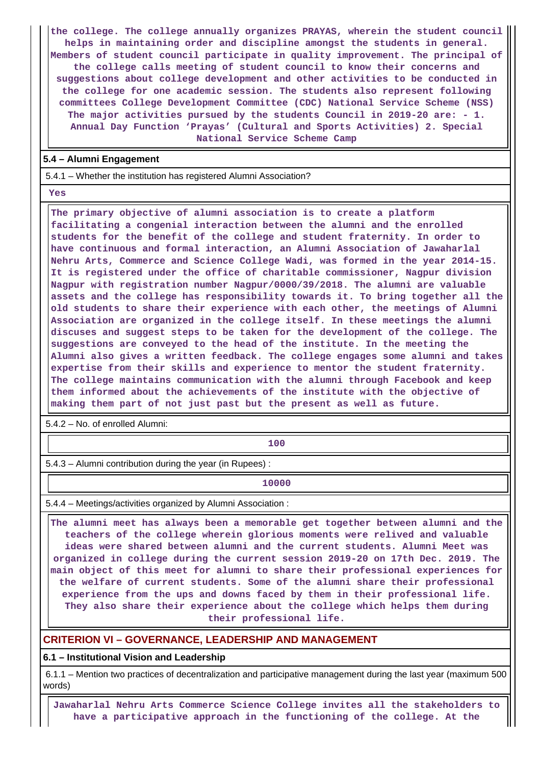**the college. The college annually organizes PRAYAS, wherein the student council helps in maintaining order and discipline amongst the students in general. Members of student council participate in quality improvement. The principal of the college calls meeting of student council to know their concerns and suggestions about college development and other activities to be conducted in the college for one academic session. The students also represent following committees College Development Committee (CDC) National Service Scheme (NSS) The major activities pursued by the students Council in 2019-20 are: - 1. Annual Day Function 'Prayas' (Cultural and Sports Activities) 2. Special National Service Scheme Camp**

#### **5.4 – Alumni Engagement**

5.4.1 – Whether the institution has registered Alumni Association?

 **Yes**

 **The primary objective of alumni association is to create a platform facilitating a congenial interaction between the alumni and the enrolled students for the benefit of the college and student fraternity. In order to have continuous and formal interaction, an Alumni Association of Jawaharlal Nehru Arts, Commerce and Science College Wadi, was formed in the year 2014-15. It is registered under the office of charitable commissioner, Nagpur division Nagpur with registration number Nagpur/0000/39/2018. The alumni are valuable assets and the college has responsibility towards it. To bring together all the old students to share their experience with each other, the meetings of Alumni Association are organized in the college itself. In these meetings the alumni discuses and suggest steps to be taken for the development of the college. The suggestions are conveyed to the head of the institute. In the meeting the Alumni also gives a written feedback. The college engages some alumni and takes expertise from their skills and experience to mentor the student fraternity. The college maintains communication with the alumni through Facebook and keep them informed about the achievements of the institute with the objective of making them part of not just past but the present as well as future.**

5.4.2 – No. of enrolled Alumni:

**100**

5.4.3 – Alumni contribution during the year (in Rupees) :

**10000**

5.4.4 – Meetings/activities organized by Alumni Association :

 **The alumni meet has always been a memorable get together between alumni and the teachers of the college wherein glorious moments were relived and valuable ideas were shared between alumni and the current students. Alumni Meet was organized in college during the current session 2019-20 on 17th Dec. 2019. The main object of this meet for alumni to share their professional experiences for the welfare of current students. Some of the alumni share their professional experience from the ups and downs faced by them in their professional life. They also share their experience about the college which helps them during their professional life.**

#### **CRITERION VI – GOVERNANCE, LEADERSHIP AND MANAGEMENT**

**6.1 – Institutional Vision and Leadership**

 6.1.1 – Mention two practices of decentralization and participative management during the last year (maximum 500 words)

 **Jawaharlal Nehru Arts Commerce Science College invites all the stakeholders to have a participative approach in the functioning of the college. At the**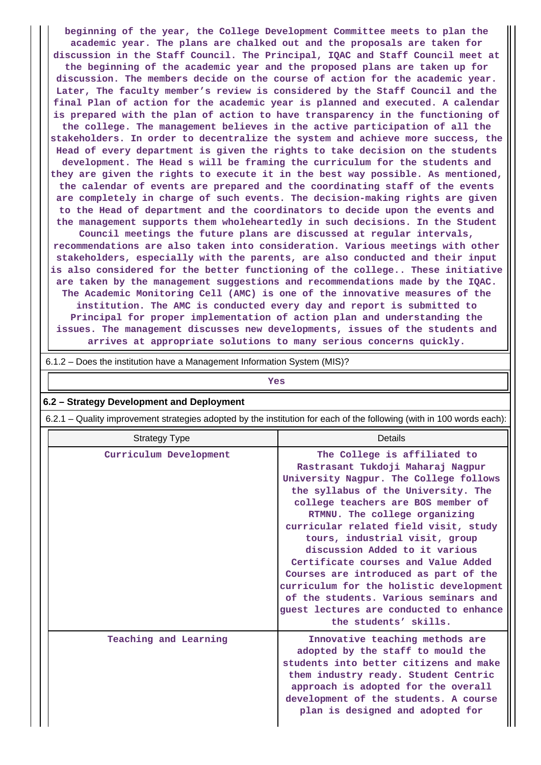**beginning of the year, the College Development Committee meets to plan the academic year. The plans are chalked out and the proposals are taken for discussion in the Staff Council. The Principal, IQAC and Staff Council meet at the beginning of the academic year and the proposed plans are taken up for discussion. The members decide on the course of action for the academic year. Later, The faculty member's review is considered by the Staff Council and the final Plan of action for the academic year is planned and executed. A calendar is prepared with the plan of action to have transparency in the functioning of the college. The management believes in the active participation of all the stakeholders. In order to decentralize the system and achieve more success, the Head of every department is given the rights to take decision on the students development. The Head s will be framing the curriculum for the students and they are given the rights to execute it in the best way possible. As mentioned, the calendar of events are prepared and the coordinating staff of the events are completely in charge of such events. The decision-making rights are given to the Head of department and the coordinators to decide upon the events and the management supports them wholeheartedly in such decisions. In the Student Council meetings the future plans are discussed at regular intervals, recommendations are also taken into consideration. Various meetings with other stakeholders, especially with the parents, are also conducted and their input is also considered for the better functioning of the college.. These initiative are taken by the management suggestions and recommendations made by the IQAC. The Academic Monitoring Cell (AMC) is one of the innovative measures of the institution. The AMC is conducted every day and report is submitted to Principal for proper implementation of action plan and understanding the issues. The management discusses new developments, issues of the students and**

**arrives at appropriate solutions to many serious concerns quickly.**

| 6.1.2 - Does the institution have a Management Information System (MIS)?                                              |                                                                                                                                                                                                                                                                                                                                                                                                                                                                                                                                                                                |  |  |  |  |  |  |
|-----------------------------------------------------------------------------------------------------------------------|--------------------------------------------------------------------------------------------------------------------------------------------------------------------------------------------------------------------------------------------------------------------------------------------------------------------------------------------------------------------------------------------------------------------------------------------------------------------------------------------------------------------------------------------------------------------------------|--|--|--|--|--|--|
| Yes                                                                                                                   |                                                                                                                                                                                                                                                                                                                                                                                                                                                                                                                                                                                |  |  |  |  |  |  |
| 6.2 - Strategy Development and Deployment                                                                             |                                                                                                                                                                                                                                                                                                                                                                                                                                                                                                                                                                                |  |  |  |  |  |  |
| 6.2.1 – Quality improvement strategies adopted by the institution for each of the following (with in 100 words each): |                                                                                                                                                                                                                                                                                                                                                                                                                                                                                                                                                                                |  |  |  |  |  |  |
| <b>Strategy Type</b>                                                                                                  | Details                                                                                                                                                                                                                                                                                                                                                                                                                                                                                                                                                                        |  |  |  |  |  |  |
| Curriculum Development                                                                                                | The College is affiliated to<br>Rastrasant Tukdoji Maharaj Nagpur<br>University Nagpur. The College follows<br>the syllabus of the University. The<br>college teachers are BOS member of<br>RTMNU. The college organizing<br>curricular related field visit, study<br>tours, industrial visit, group<br>discussion Added to it various<br>Certificate courses and Value Added<br>Courses are introduced as part of the<br>curriculum for the holistic development<br>of the students. Various seminars and<br>guest lectures are conducted to enhance<br>the students' skills. |  |  |  |  |  |  |
| Teaching and Learning                                                                                                 | Innovative teaching methods are<br>adopted by the staff to mould the<br>students into better citizens and make<br>them industry ready. Student Centric<br>approach is adopted for the overall<br>development of the students. A course                                                                                                                                                                                                                                                                                                                                         |  |  |  |  |  |  |

**plan is designed and adopted for**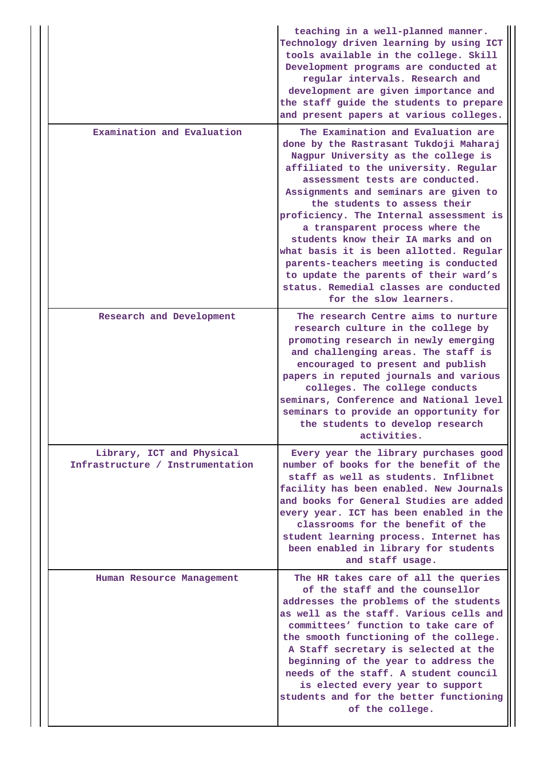|                                                               | teaching in a well-planned manner.<br>Technology driven learning by using ICT<br>tools available in the college. Skill<br>Development programs are conducted at<br>regular intervals. Research and<br>development are given importance and<br>the staff guide the students to prepare<br>and present papers at various colleges.                                                                                                                                                                                                                                                               |
|---------------------------------------------------------------|------------------------------------------------------------------------------------------------------------------------------------------------------------------------------------------------------------------------------------------------------------------------------------------------------------------------------------------------------------------------------------------------------------------------------------------------------------------------------------------------------------------------------------------------------------------------------------------------|
| Examination and Evaluation                                    | The Examination and Evaluation are<br>done by the Rastrasant Tukdoji Maharaj<br>Nagpur University as the college is<br>affiliated to the university. Regular<br>assessment tests are conducted.<br>Assignments and seminars are given to<br>the students to assess their<br>proficiency. The Internal assessment is<br>a transparent process where the<br>students know their IA marks and on<br>what basis it is been allotted. Regular<br>parents-teachers meeting is conducted<br>to update the parents of their ward's<br>status. Remedial classes are conducted<br>for the slow learners. |
| Research and Development                                      | The research Centre aims to nurture<br>research culture in the college by<br>promoting research in newly emerging<br>and challenging areas. The staff is<br>encouraged to present and publish<br>papers in reputed journals and various<br>colleges. The college conducts<br>seminars, Conference and National level<br>seminars to provide an opportunity for<br>the students to develop research<br>activities.                                                                                                                                                                              |
| Library, ICT and Physical<br>Infrastructure / Instrumentation | Every year the library purchases good<br>number of books for the benefit of the<br>staff as well as students. Inflibnet<br>facility has been enabled. New Journals<br>and books for General Studies are added<br>every year. ICT has been enabled in the<br>classrooms for the benefit of the<br>student learning process. Internet has<br>been enabled in library for students<br>and staff usage.                                                                                                                                                                                            |
| Human Resource Management                                     | The HR takes care of all the queries<br>of the staff and the counsellor<br>addresses the problems of the students<br>as well as the staff. Various cells and<br>committees' function to take care of<br>the smooth functioning of the college.<br>A Staff secretary is selected at the<br>beginning of the year to address the<br>needs of the staff. A student council<br>is elected every year to support<br>students and for the better functioning<br>of the college.                                                                                                                      |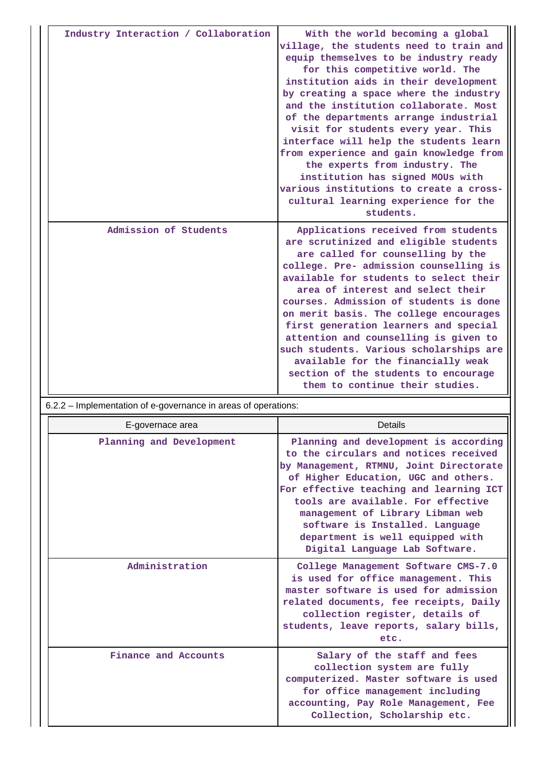| Industry Interaction / Collaboration | With the world becoming a global<br>village, the students need to train and<br>equip themselves to be industry ready<br>for this competitive world. The<br>institution aids in their development<br>by creating a space where the industry<br>and the institution collaborate. Most<br>of the departments arrange industrial<br>visit for students every year. This<br>interface will help the students learn<br>from experience and gain knowledge from<br>the experts from industry. The<br>institution has signed MOUs with<br>various institutions to create a cross-<br>cultural learning experience for the<br>students. |
|--------------------------------------|--------------------------------------------------------------------------------------------------------------------------------------------------------------------------------------------------------------------------------------------------------------------------------------------------------------------------------------------------------------------------------------------------------------------------------------------------------------------------------------------------------------------------------------------------------------------------------------------------------------------------------|
| Admission of Students                | Applications received from students<br>are scrutinized and eligible students<br>are called for counselling by the<br>college. Pre- admission counselling is<br>available for students to select their<br>area of interest and select their<br>courses. Admission of students is done<br>on merit basis. The college encourages<br>first generation learners and special<br>attention and counselling is given to<br>such students. Various scholarships are<br>available for the financially weak<br>section of the students to encourage<br>them to continue their studies.                                                   |

6.2.2 – Implementation of e-governance in areas of operations:

| E-governace area         | Details                                                                                                                                                                                                                                                                                                                                                                                         |
|--------------------------|-------------------------------------------------------------------------------------------------------------------------------------------------------------------------------------------------------------------------------------------------------------------------------------------------------------------------------------------------------------------------------------------------|
| Planning and Development | Planning and development is according<br>to the circulars and notices received<br>by Management, RTMNU, Joint Directorate<br>of Higher Education, UGC and others.<br>For effective teaching and learning ICT<br>tools are available. For effective<br>management of Library Libman web<br>software is Installed. Language<br>department is well equipped with<br>Digital Language Lab Software. |
| Administration           | College Management Software CMS-7.0<br>is used for office management. This<br>master software is used for admission<br>related documents, fee receipts, Daily<br>collection register, details of<br>students, leave reports, salary bills,<br>etc.                                                                                                                                              |
| Finance and Accounts     | Salary of the staff and fees<br>collection system are fully<br>computerized. Master software is used<br>for office management including<br>accounting, Pay Role Management, Fee<br>Collection, Scholarship etc.                                                                                                                                                                                 |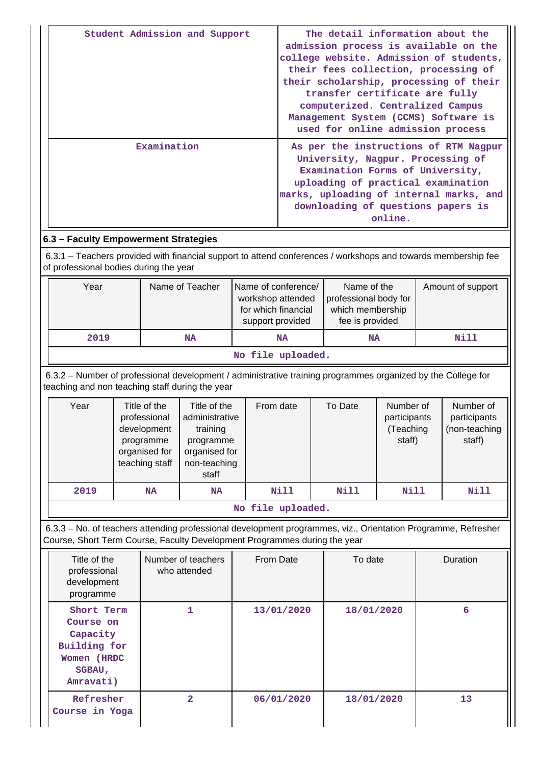| Student Admission and Support                                                                                                                                                                            |  |           |                 |                                                                                                                                                                                                                                                  |                                                                                                                                                                    | The detail information about the<br>admission process is available on the<br>college website. Admission of students,<br>their fees collection, processing of<br>their scholarship, processing of their<br>transfer certificate are fully<br>computerized. Centralized Campus<br>Management System (CCMS) Software is<br>used for online admission process |                   |                                                      |      |      |
|----------------------------------------------------------------------------------------------------------------------------------------------------------------------------------------------------------|--|-----------|-----------------|--------------------------------------------------------------------------------------------------------------------------------------------------------------------------------------------------------------------------------------------------|--------------------------------------------------------------------------------------------------------------------------------------------------------------------|-----------------------------------------------------------------------------------------------------------------------------------------------------------------------------------------------------------------------------------------------------------------------------------------------------------------------------------------------------------|-------------------|------------------------------------------------------|------|------|
| Examination                                                                                                                                                                                              |  |           |                 | As per the instructions of RTM Nagpur<br>University, Nagpur. Processing of<br>Examination Forms of University,<br>uploading of practical examination<br>marks, uploading of internal marks, and<br>downloading of questions papers is<br>online. |                                                                                                                                                                    |                                                                                                                                                                                                                                                                                                                                                           |                   |                                                      |      |      |
| 6.3 - Faculty Empowerment Strategies                                                                                                                                                                     |  |           |                 |                                                                                                                                                                                                                                                  |                                                                                                                                                                    |                                                                                                                                                                                                                                                                                                                                                           |                   |                                                      |      |      |
| 6.3.1 – Teachers provided with financial support to attend conferences / workshops and towards membership fee<br>of professional bodies during the year                                                  |  |           |                 |                                                                                                                                                                                                                                                  |                                                                                                                                                                    |                                                                                                                                                                                                                                                                                                                                                           |                   |                                                      |      |      |
| Year                                                                                                                                                                                                     |  |           | Name of Teacher |                                                                                                                                                                                                                                                  | Name of the<br>Name of conference/<br>workshop attended<br>professional body for<br>for which financial<br>which membership<br>fee is provided<br>support provided |                                                                                                                                                                                                                                                                                                                                                           | Amount of support |                                                      |      |      |
| 2019                                                                                                                                                                                                     |  |           | <b>NA</b>       |                                                                                                                                                                                                                                                  | <b>NA</b>                                                                                                                                                          |                                                                                                                                                                                                                                                                                                                                                           | <b>NA</b>         |                                                      | Nill |      |
|                                                                                                                                                                                                          |  |           |                 |                                                                                                                                                                                                                                                  | No file uploaded.                                                                                                                                                  |                                                                                                                                                                                                                                                                                                                                                           |                   |                                                      |      |      |
| 6.3.2 - Number of professional development / administrative training programmes organized by the College for<br>teaching and non teaching staff during the year                                          |  |           |                 |                                                                                                                                                                                                                                                  |                                                                                                                                                                    |                                                                                                                                                                                                                                                                                                                                                           |                   |                                                      |      |      |
| Year<br>Title of the<br>Title of the<br>professional<br>administrative<br>development<br>training<br>programme<br>programme<br>organised for<br>organised for<br>teaching staff<br>non-teaching<br>staff |  |           | From date       |                                                                                                                                                                                                                                                  | To Date                                                                                                                                                            | Number of<br>participants<br>(Teaching<br>staff)                                                                                                                                                                                                                                                                                                          |                   | Number of<br>participants<br>(non-teaching<br>staff) |      |      |
| 2019                                                                                                                                                                                                     |  | <b>NA</b> | NA              |                                                                                                                                                                                                                                                  | Nill                                                                                                                                                               |                                                                                                                                                                                                                                                                                                                                                           | Nill              | Nill                                                 |      | Nill |
|                                                                                                                                                                                                          |  |           |                 |                                                                                                                                                                                                                                                  | No file uploaded.                                                                                                                                                  |                                                                                                                                                                                                                                                                                                                                                           |                   |                                                      |      |      |
| 6.3.3 - No. of teachers attending professional development programmes, viz., Orientation Programme, Refresher<br>Course, Short Term Course, Faculty Development Programmes during the year               |  |           |                 |                                                                                                                                                                                                                                                  |                                                                                                                                                                    |                                                                                                                                                                                                                                                                                                                                                           |                   |                                                      |      |      |
| Number of teachers<br>Title of the<br>professional<br>who attended<br>development<br>programme                                                                                                           |  | From Date | To date         |                                                                                                                                                                                                                                                  | Duration                                                                                                                                                           |                                                                                                                                                                                                                                                                                                                                                           |                   |                                                      |      |      |
| Short Term<br><b>Course on</b><br>Capacity<br><b>Building for</b><br>Women (HRDC                                                                                                                         |  |           | $\mathbf{1}$    |                                                                                                                                                                                                                                                  | 13/01/2020                                                                                                                                                         |                                                                                                                                                                                                                                                                                                                                                           | 18/01/2020        |                                                      |      | 6    |

 **2 06/01/2020 18/01/2020 13**

**SGBAU, Amravati)**

 **Refresher Course in Yoga**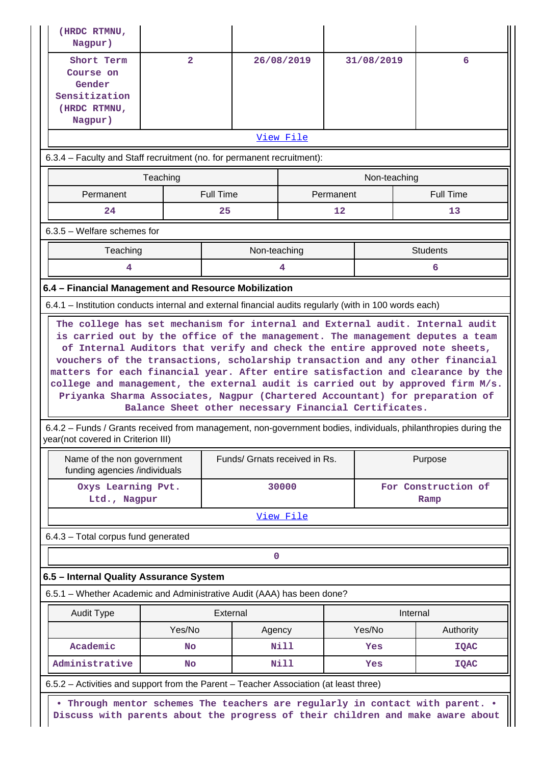| Nagpur)                                                                                                                                                                                                                              |                |                                                       |            |            |                     |                                                                        |  |  |  |  |  |
|--------------------------------------------------------------------------------------------------------------------------------------------------------------------------------------------------------------------------------------|----------------|-------------------------------------------------------|------------|------------|---------------------|------------------------------------------------------------------------|--|--|--|--|--|
| Short Term<br>Course on<br>Gender<br>Sensitization<br>(HRDC RTMNU,<br>Nagpur)                                                                                                                                                        | $\overline{2}$ |                                                       | 26/08/2019 | 31/08/2019 |                     | 6                                                                      |  |  |  |  |  |
|                                                                                                                                                                                                                                      |                |                                                       | View File  |            |                     |                                                                        |  |  |  |  |  |
| 6.3.4 - Faculty and Staff recruitment (no. for permanent recruitment):                                                                                                                                                               |                |                                                       |            |            |                     |                                                                        |  |  |  |  |  |
|                                                                                                                                                                                                                                      | Teaching       |                                                       |            |            | Non-teaching        |                                                                        |  |  |  |  |  |
| Permanent                                                                                                                                                                                                                            |                | <b>Full Time</b>                                      |            | Permanent  |                     | <b>Full Time</b>                                                       |  |  |  |  |  |
| 24                                                                                                                                                                                                                                   |                | 25                                                    |            | 12         |                     | 13                                                                     |  |  |  |  |  |
| $6.3.5$ – Welfare schemes for                                                                                                                                                                                                        |                |                                                       |            |            |                     |                                                                        |  |  |  |  |  |
| Teaching                                                                                                                                                                                                                             |                | Non-teaching                                          |            |            | <b>Students</b>     |                                                                        |  |  |  |  |  |
| 4                                                                                                                                                                                                                                    |                |                                                       | 4          |            |                     | 6                                                                      |  |  |  |  |  |
| 6.4 - Financial Management and Resource Mobilization                                                                                                                                                                                 |                |                                                       |            |            |                     |                                                                        |  |  |  |  |  |
| 6.4.1 – Institution conducts internal and external financial audits regularly (with in 100 words each)                                                                                                                               |                |                                                       |            |            |                     |                                                                        |  |  |  |  |  |
| Priyanka Sharma Associates, Nagpur (Chartered Accountant) for preparation of<br>6.4.2 – Funds / Grants received from management, non-government bodies, individuals, philanthropies during the<br>year(not covered in Criterion III) |                | Balance Sheet other necessary Financial Certificates. |            |            |                     |                                                                        |  |  |  |  |  |
| funding agencies /individuals                                                                                                                                                                                                        |                |                                                       |            |            |                     | Name of the non government<br>Funds/ Grnats received in Rs.<br>Purpose |  |  |  |  |  |
| Oxys Learning Pvt.                                                                                                                                                                                                                   |                |                                                       | 30000      |            | For Construction of |                                                                        |  |  |  |  |  |
| Ltd., Nagpur<br>Ramp                                                                                                                                                                                                                 |                |                                                       |            |            |                     |                                                                        |  |  |  |  |  |
|                                                                                                                                                                                                                                      |                |                                                       |            |            |                     |                                                                        |  |  |  |  |  |
|                                                                                                                                                                                                                                      |                |                                                       | View File  |            |                     |                                                                        |  |  |  |  |  |
| 6.4.3 - Total corpus fund generated                                                                                                                                                                                                  |                |                                                       |            |            |                     |                                                                        |  |  |  |  |  |
|                                                                                                                                                                                                                                      |                | $\mathbf 0$                                           |            |            |                     |                                                                        |  |  |  |  |  |
| 6.5 - Internal Quality Assurance System                                                                                                                                                                                              |                |                                                       |            |            |                     |                                                                        |  |  |  |  |  |
| 6.5.1 - Whether Academic and Administrative Audit (AAA) has been done?                                                                                                                                                               |                | External                                              |            |            | Internal            |                                                                        |  |  |  |  |  |
| <b>Audit Type</b>                                                                                                                                                                                                                    | Yes/No         | Agency                                                |            | Yes/No     |                     | Authority                                                              |  |  |  |  |  |
| Academic                                                                                                                                                                                                                             | <b>No</b>      |                                                       | Nill       | Yes        |                     | IQAC                                                                   |  |  |  |  |  |
| Administrative                                                                                                                                                                                                                       | <b>No</b>      |                                                       | Nill       | Yes        |                     | <b>IQAC</b>                                                            |  |  |  |  |  |
| 6.5.2 – Activities and support from the Parent – Teacher Association (at least three)                                                                                                                                                |                |                                                       |            |            |                     |                                                                        |  |  |  |  |  |
| • Through mentor schemes The teachers are regularly in contact with parent. •<br>Discuss with parents about the progress of their children and make aware about                                                                      |                |                                                       |            |            |                     |                                                                        |  |  |  |  |  |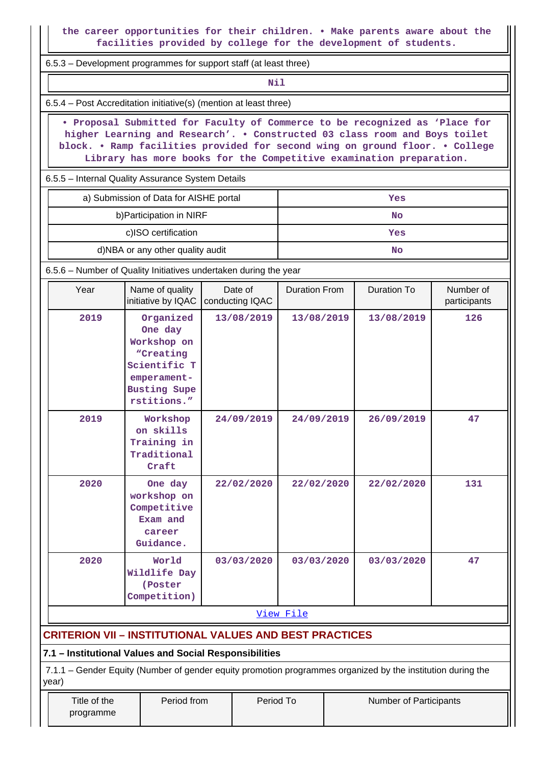**the career opportunities for their children. • Make parents aware about the facilities provided by college for the development of students.**

6.5.3 – Development programmes for support staff (at least three)

**Nil** 

6.5.4 – Post Accreditation initiative(s) (mention at least three)

 **• Proposal Submitted for Faculty of Commerce to be recognized as 'Place for higher Learning and Research'. • Constructed 03 class room and Boys toilet block. • Ramp facilities provided for second wing on ground floor. • College Library has more books for the Competitive examination preparation.**

6.5.5 – Internal Quality Assurance System Details

| a) Submission of Data for AISHE portal | Yes |
|----------------------------------------|-----|
| b) Participation in NIRF               | No  |
| c)ISO certification                    | Yes |
| d)NBA or any other quality audit       | No  |

6.5.6 – Number of Quality Initiatives undertaken during the year

| Year | Name of quality<br>initiative by IQAC<br>conducting IQAC                                                              |            | <b>Duration From</b> | <b>Duration To</b> | Number of<br>participants |
|------|-----------------------------------------------------------------------------------------------------------------------|------------|----------------------|--------------------|---------------------------|
| 2019 | Organized<br>One day<br>Workshop on<br>"Creating<br>Scientific T<br>emperament-<br><b>Busting Supe</b><br>rstitions." | 13/08/2019 | 13/08/2019           | 13/08/2019         | 126                       |
| 2019 | Workshop<br>on skills<br>Training in<br>Traditional<br>Craft                                                          | 24/09/2019 | 24/09/2019           | 26/09/2019         | 47                        |
| 2020 | One day<br>workshop on<br>Competitive<br>Exam and<br>career<br>Guidance.                                              | 22/02/2020 | 22/02/2020           | 22/02/2020         | 131                       |
| 2020 | World<br>Wildlife Day<br>(Poster<br>Competition)                                                                      | 03/03/2020 | 03/03/2020           | 03/03/2020         | 47                        |
|      |                                                                                                                       |            | View File            |                    |                           |

# **CRITERION VII – INSTITUTIONAL VALUES AND BEST PRACTICES**

**7.1 – Institutional Values and Social Responsibilities**

 7.1.1 – Gender Equity (Number of gender equity promotion programmes organized by the institution during the year)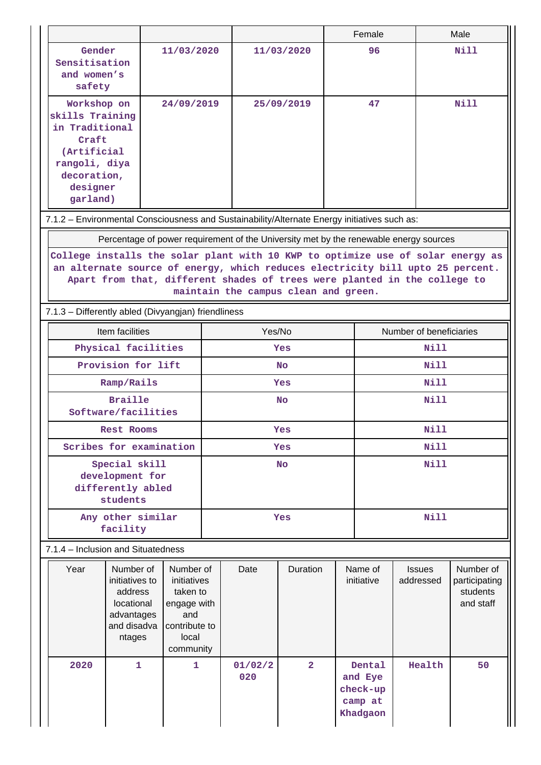|                                                                                                                                                                                                                                                                                        |                                                                                             |                                                                                                   |           |                |                |                         | Female                                               |                            |  | Male                                                |
|----------------------------------------------------------------------------------------------------------------------------------------------------------------------------------------------------------------------------------------------------------------------------------------|---------------------------------------------------------------------------------------------|---------------------------------------------------------------------------------------------------|-----------|----------------|----------------|-------------------------|------------------------------------------------------|----------------------------|--|-----------------------------------------------------|
| Gender<br>Sensitisation<br>and women's<br>safety                                                                                                                                                                                                                                       |                                                                                             | 11/03/2020                                                                                        |           |                | 11/03/2020     |                         | 96                                                   |                            |  | Nill                                                |
| Workshop on<br>skills Training<br>in Traditional<br>Craft<br>(Artificial<br>rangoli, diya<br>decoration,<br>designer<br>garland)                                                                                                                                                       |                                                                                             | 24/09/2019                                                                                        |           |                | 25/09/2019     |                         | 47                                                   |                            |  | Nill                                                |
| 7.1.2 - Environmental Consciousness and Sustainability/Alternate Energy initiatives such as:                                                                                                                                                                                           |                                                                                             |                                                                                                   |           |                |                |                         |                                                      |                            |  |                                                     |
| Percentage of power requirement of the University met by the renewable energy sources                                                                                                                                                                                                  |                                                                                             |                                                                                                   |           |                |                |                         |                                                      |                            |  |                                                     |
| College installs the solar plant with 10 KWP to optimize use of solar energy as<br>an alternate source of energy, which reduces electricity bill upto 25 percent.<br>Apart from that, different shades of trees were planted in the college to<br>maintain the campus clean and green. |                                                                                             |                                                                                                   |           |                |                |                         |                                                      |                            |  |                                                     |
| 7.1.3 - Differently abled (Divyangjan) friendliness                                                                                                                                                                                                                                    |                                                                                             |                                                                                                   |           |                |                |                         |                                                      |                            |  |                                                     |
|                                                                                                                                                                                                                                                                                        | Item facilities                                                                             |                                                                                                   | Yes/No    |                |                | Number of beneficiaries |                                                      |                            |  |                                                     |
|                                                                                                                                                                                                                                                                                        | Physical facilities                                                                         |                                                                                                   | Yes       |                |                | Nill                    |                                                      |                            |  |                                                     |
|                                                                                                                                                                                                                                                                                        | Provision for lift                                                                          |                                                                                                   | <b>No</b> |                |                |                         | Nill<br>Nill                                         |                            |  |                                                     |
|                                                                                                                                                                                                                                                                                        | Ramp/Rails                                                                                  |                                                                                                   | Yes       |                |                | Nill                    |                                                      |                            |  |                                                     |
|                                                                                                                                                                                                                                                                                        | <b>Braille</b><br>Software/facilities                                                       |                                                                                                   | <b>No</b> |                |                |                         |                                                      |                            |  |                                                     |
|                                                                                                                                                                                                                                                                                        | Rest Rooms                                                                                  |                                                                                                   |           |                | Yes            |                         |                                                      | Nill                       |  |                                                     |
|                                                                                                                                                                                                                                                                                        | Scribes for examination                                                                     |                                                                                                   | Yes       |                |                |                         | <b>Nill</b>                                          |                            |  |                                                     |
| Special skill<br>development for<br>differently abled<br>students                                                                                                                                                                                                                      |                                                                                             |                                                                                                   | <b>No</b> |                |                | <b>Nill</b>             |                                                      |                            |  |                                                     |
|                                                                                                                                                                                                                                                                                        | Any other similar<br>facility                                                               |                                                                                                   | Yes       |                |                | <b>Nill</b>             |                                                      |                            |  |                                                     |
| 7.1.4 - Inclusion and Situatedness                                                                                                                                                                                                                                                     |                                                                                             |                                                                                                   |           |                |                |                         |                                                      |                            |  |                                                     |
| Year                                                                                                                                                                                                                                                                                   | Number of<br>initiatives to<br>address<br>locational<br>advantages<br>and disadva<br>ntages | Number of<br>initiatives<br>taken to<br>engage with<br>and<br>contribute to<br>local<br>community |           | Date           | Duration       |                         | Name of<br>initiative                                | <b>Issues</b><br>addressed |  | Number of<br>participating<br>students<br>and staff |
| 2020                                                                                                                                                                                                                                                                                   | 1                                                                                           | 1                                                                                                 |           | 01/02/2<br>020 | $\overline{a}$ |                         | Dental<br>and Eye<br>check-up<br>camp at<br>Khadgaon | Health                     |  | 50                                                  |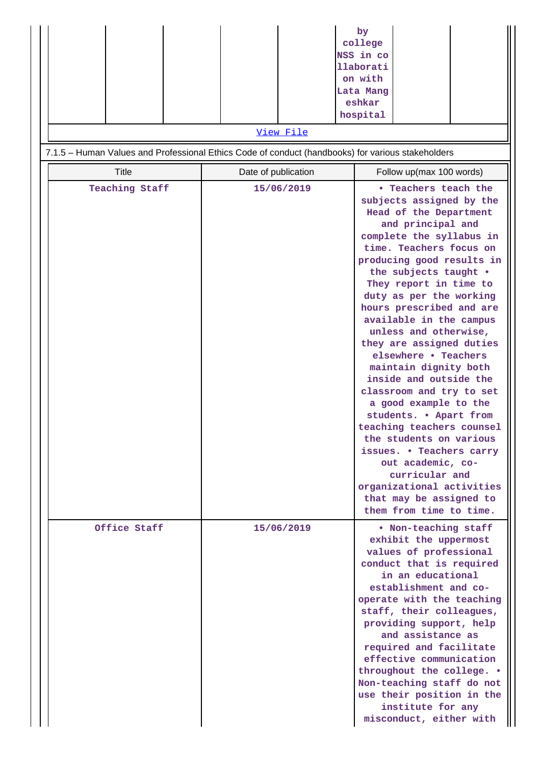|                | View File                                                                                         | by<br>college<br>NSS in co<br>llaborati<br>on with<br>Lata Mang<br>eshkar<br>hospital                                                                                                                                                                                                                                                                                                                                                                                                                                                                                                                                                                                                                                                                        |  |  |  |  |  |  |
|----------------|---------------------------------------------------------------------------------------------------|--------------------------------------------------------------------------------------------------------------------------------------------------------------------------------------------------------------------------------------------------------------------------------------------------------------------------------------------------------------------------------------------------------------------------------------------------------------------------------------------------------------------------------------------------------------------------------------------------------------------------------------------------------------------------------------------------------------------------------------------------------------|--|--|--|--|--|--|
|                | 7.1.5 - Human Values and Professional Ethics Code of conduct (handbooks) for various stakeholders |                                                                                                                                                                                                                                                                                                                                                                                                                                                                                                                                                                                                                                                                                                                                                              |  |  |  |  |  |  |
| <b>Title</b>   | Date of publication                                                                               | Follow up(max 100 words)                                                                                                                                                                                                                                                                                                                                                                                                                                                                                                                                                                                                                                                                                                                                     |  |  |  |  |  |  |
| Teaching Staff | 15/06/2019                                                                                        | <b>• Teachers teach the</b><br>subjects assigned by the<br>Head of the Department<br>and principal and<br>complete the syllabus in<br>time. Teachers focus on<br>producing good results in<br>the subjects taught .<br>They report in time to<br>duty as per the working<br>hours prescribed and are<br>available in the campus<br>unless and otherwise,<br>they are assigned duties<br>elsewhere • Teachers<br>maintain dignity both<br>inside and outside the<br>classroom and try to set<br>a good example to the<br>students. . Apart from<br>teaching teachers counsel<br>the students on various<br>issues. • Teachers carry<br>out academic, co-<br>curricular and<br>organizational activities<br>that may be assigned to<br>them from time to time. |  |  |  |  |  |  |
| Office Staff   | 15/06/2019                                                                                        | . Non-teaching staff<br>exhibit the uppermost<br>values of professional<br>conduct that is required<br>in an educational<br>establishment and co-<br>operate with the teaching<br>staff, their colleagues,<br>providing support, help<br>and assistance as<br>required and facilitate<br>effective communication<br>throughout the college. .<br>Non-teaching staff do not<br>use their position in the<br>institute for any<br>misconduct, either with                                                                                                                                                                                                                                                                                                      |  |  |  |  |  |  |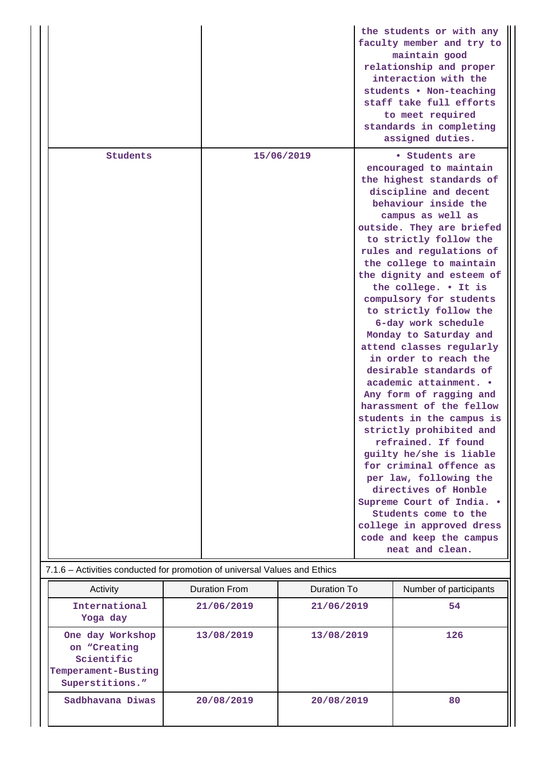|                                                                           |            | the students or with any<br>faculty member and try to<br>maintain good<br>relationship and proper<br>interaction with the<br>students . Non-teaching<br>staff take full efforts<br>to meet required<br>standards in completing<br>assigned duties.                                                                                                                                                                                                                                                                                                                                                                                                                                                                                                                                                                                                                                                          |  |  |  |  |
|---------------------------------------------------------------------------|------------|-------------------------------------------------------------------------------------------------------------------------------------------------------------------------------------------------------------------------------------------------------------------------------------------------------------------------------------------------------------------------------------------------------------------------------------------------------------------------------------------------------------------------------------------------------------------------------------------------------------------------------------------------------------------------------------------------------------------------------------------------------------------------------------------------------------------------------------------------------------------------------------------------------------|--|--|--|--|
| Students                                                                  | 15/06/2019 | • Students are<br>encouraged to maintain<br>the highest standards of<br>discipline and decent<br>behaviour inside the<br>campus as well as<br>outside. They are briefed<br>to strictly follow the<br>rules and regulations of<br>the college to maintain<br>the dignity and esteem of<br>the college. . It is<br>compulsory for students<br>to strictly follow the<br>6-day work schedule<br>Monday to Saturday and<br>attend classes regularly<br>in order to reach the<br>desirable standards of<br>academic attainment. .<br>Any form of ragging and<br>harassment of the fellow<br>students in the campus is<br>strictly prohibited and<br>refrained. If found<br>guilty he/she is liable<br>for criminal offence as<br>per law, following the<br>directives of Honble<br>Supreme Court of India. .<br>Students come to the<br>college in approved dress<br>code and keep the campus<br>neat and clean. |  |  |  |  |
| 7.1.6 - Activities conducted for promotion of universal Values and Ethics |            |                                                                                                                                                                                                                                                                                                                                                                                                                                                                                                                                                                                                                                                                                                                                                                                                                                                                                                             |  |  |  |  |

| Activity                                                                                 | Duration From | Duration To | Number of participants |
|------------------------------------------------------------------------------------------|---------------|-------------|------------------------|
| International<br>Yoga day                                                                | 21/06/2019    | 21/06/2019  | 54                     |
| One day Workshop<br>on "Creating<br>Scientific<br>Temperament-Busting<br>Superstitions." | 13/08/2019    | 13/08/2019  | 126                    |
| Sadbhavana Diwas                                                                         | 20/08/2019    | 20/08/2019  | 80                     |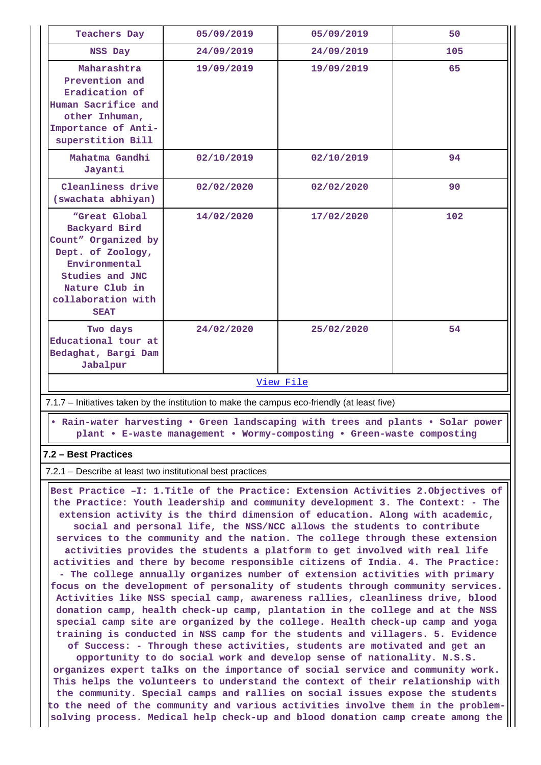| <b>Teachers Day</b>                                                                                                                                                   | 05/09/2019 | 05/09/2019 | 50  |
|-----------------------------------------------------------------------------------------------------------------------------------------------------------------------|------------|------------|-----|
| NSS Day                                                                                                                                                               | 24/09/2019 | 24/09/2019 | 105 |
| Maharashtra<br>Prevention and<br>Eradication of<br>Human Sacrifice and<br>other Inhuman,<br>Importance of Anti-<br>superstition Bill                                  | 19/09/2019 | 19/09/2019 | 65  |
| Mahatma Gandhi<br>Jayanti                                                                                                                                             | 02/10/2019 | 02/10/2019 | 94  |
| Cleanliness drive<br>(swachata abhiyan)                                                                                                                               | 02/02/2020 | 02/02/2020 | 90  |
| "Great Global<br>Backyard Bird<br>Count" Organized by<br>Dept. of Zoology,<br>Environmental<br>Studies and JNC<br>Nature Club in<br>collaboration with<br><b>SEAT</b> | 14/02/2020 | 17/02/2020 | 102 |
| Two days<br>Educational tour at<br>Bedaghat, Bargi Dam<br>Jabalpur                                                                                                    | 24/02/2020 | 25/02/2020 | 54  |
| View File                                                                                                                                                             |            |            |     |

7.1.7 – Initiatives taken by the institution to make the campus eco-friendly (at least five)

 **• Rain-water harvesting • Green landscaping with trees and plants • Solar power plant • E-waste management • Wormy-composting • Green-waste composting**

# **7.2 – Best Practices**

7.2.1 – Describe at least two institutional best practices

 **Best Practice –I: 1.Title of the Practice: Extension Activities 2.Objectives of the Practice: Youth leadership and community development 3. The Context: - The extension activity is the third dimension of education. Along with academic, social and personal life, the NSS/NCC allows the students to contribute services to the community and the nation. The college through these extension activities provides the students a platform to get involved with real life activities and there by become responsible citizens of India. 4. The Practice: - The college annually organizes number of extension activities with primary focus on the development of personality of students through community services. Activities like NSS special camp, awareness rallies, cleanliness drive, blood donation camp, health check-up camp, plantation in the college and at the NSS special camp site are organized by the college. Health check-up camp and yoga training is conducted in NSS camp for the students and villagers. 5. Evidence of Success: - Through these activities, students are motivated and get an opportunity to do social work and develop sense of nationality. N.S.S. organizes expert talks on the importance of social service and community work. This helps the volunteers to understand the context of their relationship with the community. Special camps and rallies on social issues expose the students to the need of the community and various activities involve them in the problem-**

**solving process. Medical help check-up and blood donation camp create among the**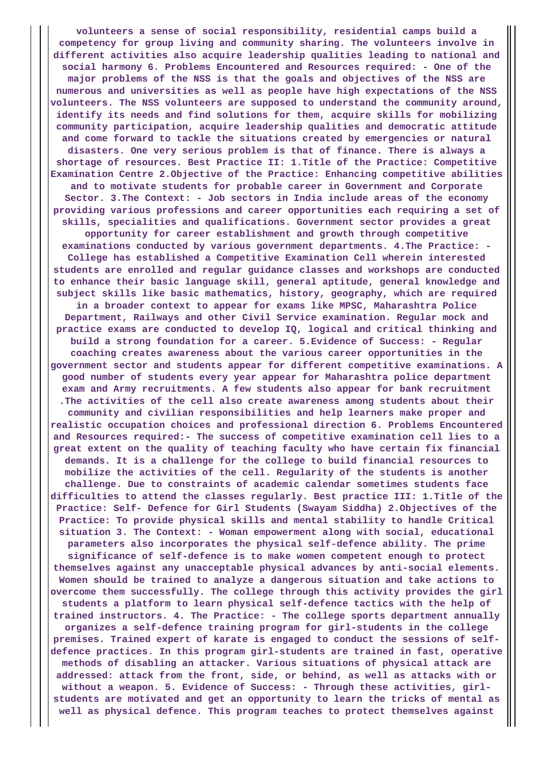**volunteers a sense of social responsibility, residential camps build a competency for group living and community sharing. The volunteers involve in different activities also acquire leadership qualities leading to national and social harmony 6. Problems Encountered and Resources required: - One of the major problems of the NSS is that the goals and objectives of the NSS are numerous and universities as well as people have high expectations of the NSS volunteers. The NSS volunteers are supposed to understand the community around, identify its needs and find solutions for them, acquire skills for mobilizing community participation, acquire leadership qualities and democratic attitude and come forward to tackle the situations created by emergencies or natural disasters. One very serious problem is that of finance. There is always a shortage of resources. Best Practice II: 1.Title of the Practice: Competitive Examination Centre 2.Objective of the Practice: Enhancing competitive abilities and to motivate students for probable career in Government and Corporate Sector. 3.The Context: - Job sectors in India include areas of the economy providing various professions and career opportunities each requiring a set of skills, specialities and qualifications. Government sector provides a great opportunity for career establishment and growth through competitive examinations conducted by various government departments. 4.The Practice: - College has established a Competitive Examination Cell wherein interested students are enrolled and regular guidance classes and workshops are conducted to enhance their basic language skill, general aptitude, general knowledge and subject skills like basic mathematics, history, geography, which are required in a broader context to appear for exams like MPSC, Maharashtra Police Department, Railways and other Civil Service examination. Regular mock and practice exams are conducted to develop IQ, logical and critical thinking and build a strong foundation for a career. 5.Evidence of Success: - Regular coaching creates awareness about the various career opportunities in the government sector and students appear for different competitive examinations. A good number of students every year appear for Maharashtra police department exam and Army recruitments. A few students also appear for bank recruitment .The activities of the cell also create awareness among students about their community and civilian responsibilities and help learners make proper and realistic occupation choices and professional direction 6. Problems Encountered and Resources required:- The success of competitive examination cell lies to a great extent on the quality of teaching faculty who have certain fix financial demands. It is a challenge for the college to build financial resources to mobilize the activities of the cell. Regularity of the students is another challenge. Due to constraints of academic calendar sometimes students face difficulties to attend the classes regularly. Best practice III: 1.Title of the Practice: Self- Defence for Girl Students (Swayam Siddha) 2.Objectives of the Practice: To provide physical skills and mental stability to handle Critical situation 3. The Context: - Woman empowerment along with social, educational parameters also incorporates the physical self-defence ability. The prime significance of self-defence is to make women competent enough to protect themselves against any unacceptable physical advances by anti-social elements. Women should be trained to analyze a dangerous situation and take actions to overcome them successfully. The college through this activity provides the girl students a platform to learn physical self-defence tactics with the help of trained instructors. 4. The Practice: - The college sports department annually organizes a self-defence training program for girl-students in the college premises. Trained expert of karate is engaged to conduct the sessions of selfdefence practices. In this program girl-students are trained in fast, operative methods of disabling an attacker. Various situations of physical attack are addressed: attack from the front, side, or behind, as well as attacks with or without a weapon. 5. Evidence of Success: - Through these activities, girlstudents are motivated and get an opportunity to learn the tricks of mental as well as physical defence. This program teaches to protect themselves against**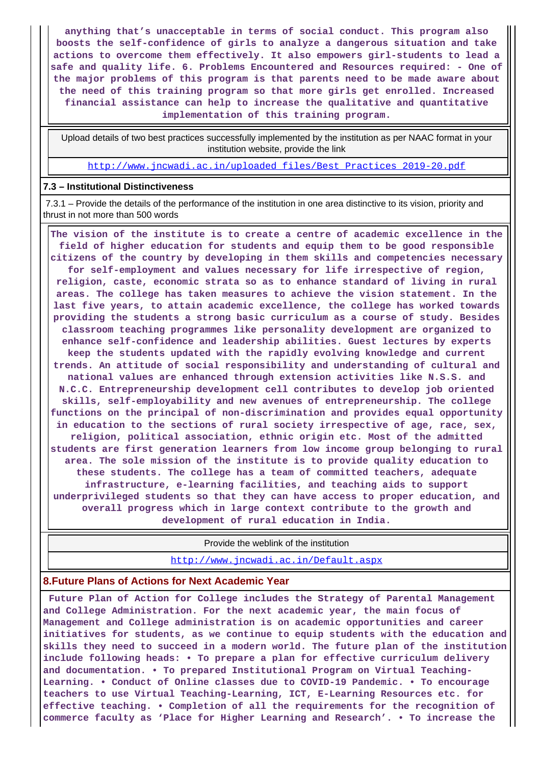**anything that's unacceptable in terms of social conduct. This program also boosts the self-confidence of girls to analyze a dangerous situation and take actions to overcome them effectively. It also empowers girl-students to lead a safe and quality life. 6. Problems Encountered and Resources required: - One of the major problems of this program is that parents need to be made aware about the need of this training program so that more girls get enrolled. Increased financial assistance can help to increase the qualitative and quantitative implementation of this training program.**

 Upload details of two best practices successfully implemented by the institution as per NAAC format in your institution website, provide the link

[http://www.jncwadi.ac.in/uploaded\\_files/Best\\_Practices\\_2019-20.pdf](http://www.jncwadi.ac.in/uploaded_files/Best_Practices_2019-20.pdf)

#### **7.3 – Institutional Distinctiveness**

 7.3.1 – Provide the details of the performance of the institution in one area distinctive to its vision, priority and thrust in not more than 500 words

 **The vision of the institute is to create a centre of academic excellence in the field of higher education for students and equip them to be good responsible citizens of the country by developing in them skills and competencies necessary for self-employment and values necessary for life irrespective of region, religion, caste, economic strata so as to enhance standard of living in rural areas. The college has taken measures to achieve the vision statement. In the last five years, to attain academic excellence, the college has worked towards providing the students a strong basic curriculum as a course of study. Besides classroom teaching programmes like personality development are organized to enhance self-confidence and leadership abilities. Guest lectures by experts keep the students updated with the rapidly evolving knowledge and current trends. An attitude of social responsibility and understanding of cultural and national values are enhanced through extension activities like N.S.S. and N.C.C. Entrepreneurship development cell contributes to develop job oriented skills, self-employability and new avenues of entrepreneurship. The college functions on the principal of non-discrimination and provides equal opportunity in education to the sections of rural society irrespective of age, race, sex, religion, political association, ethnic origin etc. Most of the admitted students are first generation learners from low income group belonging to rural area. The sole mission of the institute is to provide quality education to these students. The college has a team of committed teachers, adequate infrastructure, e-learning facilities, and teaching aids to support underprivileged students so that they can have access to proper education, and overall progress which in large context contribute to the growth and development of rural education in India.**

Provide the weblink of the institution

<http://www.jncwadi.ac.in/Default.aspx>

#### **8.Future Plans of Actions for Next Academic Year**

 **Future Plan of Action for College includes the Strategy of Parental Management and College Administration. For the next academic year, the main focus of Management and College administration is on academic opportunities and career initiatives for students, as we continue to equip students with the education and skills they need to succeed in a modern world. The future plan of the institution include following heads: • To prepare a plan for effective curriculum delivery and documentation. • To prepared Institutional Program on Virtual Teaching-Learning. • Conduct of Online classes due to COVID-19 Pandemic. • To encourage teachers to use Virtual Teaching-Learning, ICT, E-Learning Resources etc. for effective teaching. • Completion of all the requirements for the recognition of commerce faculty as 'Place for Higher Learning and Research'. • To increase the**